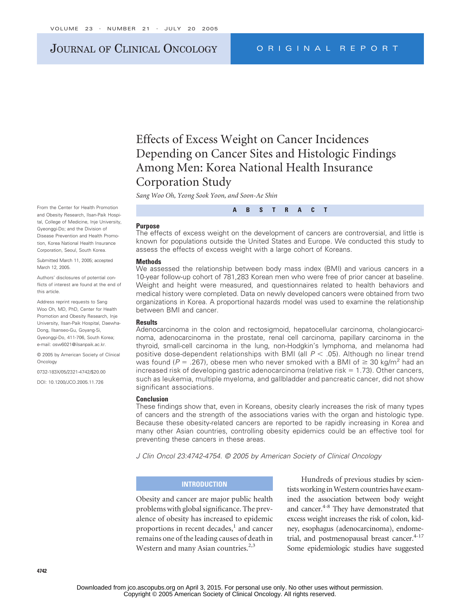# JOURNAL OF CLINICAL ONCOLOGY ORIGINAL REPORT

# Effects of Excess Weight on Cancer Incidences Depending on Cancer Sites and Histologic Findings Among Men: Korea National Health Insurance Corporation Study

*Sang Woo Oh, Yeong Sook Yoon, and Soon-Ae Shin*

**ABSTRACT**

#### **Purpose**

The effects of excess weight on the development of cancers are controversial, and little is known for populations outside the United States and Europe. We conducted this study to assess the effects of excess weight with a large cohort of Koreans.

#### **Methods**

We assessed the relationship between body mass index (BMI) and various cancers in a 10-year follow-up cohort of 781,283 Korean men who were free of prior cancer at baseline. Weight and height were measured, and questionnaires related to health behaviors and medical history were completed. Data on newly developed cancers were obtained from two organizations in Korea. A proportional hazards model was used to examine the relationship between BMI and cancer.

#### **Results**

Adenocarcinoma in the colon and rectosigmoid, hepatocellular carcinoma, cholangiocarcinoma, adenocarcinoma in the prostate, renal cell carcinoma, papillary carcinoma in the thyroid, small-cell carcinoma in the lung, non-Hodgkin's lymphoma, and melanoma had positive dose-dependent relationships with BMI (all  $P < .05$ ). Although no linear trend was found (P =  $.267$ ), obese men who never smoked with a BMI of  $\geq 30$  kg/m<sup>2</sup> had an increased risk of developing gastric adenocarcinoma (relative risk = 1.73). Other cancers, such as leukemia, multiple myeloma, and gallbladder and pancreatic cancer, did not show significant associations.

#### **Conclusion**

These findings show that, even in Koreans, obesity clearly increases the risk of many types of cancers and the strength of the associations varies with the organ and histologic type. Because these obesity-related cancers are reported to be rapidly increasing in Korea and many other Asian countries, controlling obesity epidemics could be an effective tool for preventing these cancers in these areas.

*J Clin Oncol 23:4742-4754. © 2005 by American Society of Clinical Oncology*

### **INTRODUCTION**

Obesity and cancer are major public health problems with global significance. The prevalence of obesity has increased to epidemic proportions in recent decades, $<sup>1</sup>$  and cancer</sup> remains one of the leading causes of death in Western and many Asian countries.<sup>2,3</sup>

Hundreds of previous studies by scientists working inWestern countries have examined the association between body weight and cancer.<sup>4-8</sup> They have demonstrated that excess weight increases the risk of colon, kidney, esophagus (adenocarcinoma), endometrial, and postmenopausal breast cancer.<sup>4-17</sup> Some epidemiologic studies have suggested

From the Center for Health Promotion and Obesity Research, Ilsan-Paik Hospital, College of Medicine, Inje University, Gyeonggi-Do; and the Division of Disease Prevention and Health Promotion, Korea National Health Insurance Corporation, Seoul, South Korea.

Submitted March 11, 2005; accepted March 12, 2005.

Authors' disclosures of potential conflicts of interest are found at the end of this article.

Address reprint requests to Sang Woo Oh, MD, PhD, Center for Health Promotion and Obesity Research, Inje University, Ilsan-Paik Hospital, Daewha-Dong, Ilsanseo-Gu, Goyang-Si, Gyeonggi-Do, 411-706, South Korea; e-mail: osw6021@ilsanpaik.ac.kr.

© 2005 by American Society of Clinical **Oncology** 

0732-183X/05/2321-4742/\$20.00

DOI: 10.1200/JCO.2005.11.726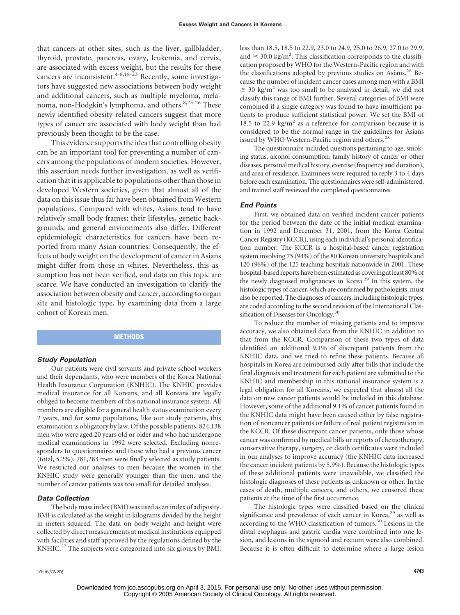that cancers at other sites, such as the liver, gallbladder, thyroid, prostate, pancreas, ovary, leukemia, and cervix, are associated with excess weight, but the results for these cancers are inconsistent.<sup>4-8,18-23</sup> Recently, some investigators have suggested new associations between body weight and additional cancers, such as multiple myeloma, melanoma, non-Hodgkin's lymphoma, and others.<sup>8,23-26</sup> These newly identified obesity-related cancers suggest that more types of cancer are associated with body weight than had previously been thought to be the case.

This evidence supports the idea that controlling obesity can be an important tool for preventing a number of cancers among the populations of modern societies. However, this assertion needs further investigation, as well as verification that it is applicable to populations other than those in developed Western societies, given that almost all of the data on this issue thus far have been obtained from Western populations. Compared with whites, Asians tend to have relatively small body frames; their lifestyles, genetic backgrounds, and general environments also differ. Different epidemiologic characteristics for cancers have been reported from many Asian countries. Consequently, the effects of body weight on the development of cancer in Asians might differ from those in whites. Nevertheless, this assumption has not been verified, and data on this topic are scarce. We have conducted an investigation to clarify the association between obesity and cancer, according to organ site and histologic type, by examining data from a large cohort of Korean men.

# **METHODS**

### *Study Population*

Our patients were civil servants and private school workers and their dependants, who were members of the Korea National Health Insurance Corporation (KNHIC). The KNHIC provides medical insurance for all Koreans, and all Koreans are legally obliged to become members of this national insurance system. All members are eligible for a general health status examination every 2 years, and for some populations, like our study patients, this examination is obligatory by law. Of the possible patients, 824,138 men who were aged 20 years old or older and who had undergone medical examinations in 1992 were selected. Excluding nonresponders to questionnaires and those who had a previous cancer (total, 5.2%), 781,283 men were finally selected as study patients. We restricted our analyses to men because the women in the KNHIC study were generally younger than the men, and the number of cancer patients was too small for detailed analyses.

### *Data Collection*

The body mass index (BMI) was used as an index of adiposity. BMI is calculated as the weight in kilograms divided by the height in meters squared. The data on body weight and height were collected by direct measurements at medical institutions equipped with facilities and staff approved by the regulations defined by the KNHIC.<sup>27</sup> The subjects were categorized into six groups by BMI: less than 18.5, 18.5 to 22.9, 23.0 to 24.9, 25.0 to 26.9, 27.0 to 29.9, and  $\geq$  30.0 kg/m<sup>2</sup>. This classification corresponds to the classification proposed by WHO for the Western-Pacific region and with the classifications adopted by previous studies on Asians.<sup>28</sup> Because the number of incident cancer cases among men with a BMI  $\geq$  30 kg/m<sup>2</sup> was too small to be analyzed in detail, we did not classify this range of BMI further. Several categories of BMI were combined if a single category was found to have insufficient patients to produce sufficient statistical power. We set the BMI of 18.5 to 22.9  $\text{kg/m}^2$  as a reference for comparison because it is considered to be the normal range in the guidelines for Asians issued by WHO Western-Pacific region and others.<sup>28</sup>

The questionnaire included questions pertaining to age, smoking status, alcohol consumption, family history of cancer or other diseases, personal medical history, exercise (frequency and duration), and area of residence. Examinees were required to reply 3 to 4 days before each examination. The questionnaires were self-administered, and trained staff reviewed the completed questionnaires.

## *End Points*

First, we obtained data on verified incident cancer patients for the period between the date of the initial medical examination in 1992 and December 31, 2001, from the Korea Central Cancer Registry (KCCR), using each individual's personal identification number. The KCCR is a hospital-based cancer registration system involving 75 (94%) of the 80 Korean university hospitals and 120 (96%) of the 125 teaching hospitals nationwide in 2001. These hospital-based reports have been estimated as covering at least 80% of the newly diagnosed malignancies in Korea.29 In this system, the histologic types of cancer, which are confirmed by pathologists, must also be reported. The diagnoses of cancers, including histologic types, are coded according to the second revision of the International Classification of Diseases for Oncology.<sup>30</sup>

To reduce the number of missing patients and to improve accuracy, we also obtained data from the KNHIC in addition to that from the KCCR. Comparison of these two types of data identified an additional 9.1% of discrepant patients from the KNHIC data, and we tried to refine these patients. Because all hospitals in Korea are reimbursed only after bills that include the final diagnosis and treatment for each patient are submitted to the KNHIC and membership in this national insurance system is a legal obligation for all Koreans, we expected that almost all the data on new cancer patients would be included in this database. However, some of the additional 9.1% of cancer patients found in the KNHIC data might have been caused either by false registration of noncancer patients or failure of real patient registration in the KCCR. Of these discrepant cancer patients, only those whose cancer was confirmed by medical bills or reports of chemotherapy, conservative therapy, surgery, or death certificates were included in our analyses to improve accuracy (the KNHIC data increased the cancer incident patients by 5.9%). Because the histologic types of these additional patients were unavailable, we classified the histologic diagnoses of these patients as unknown or other. In the cases of death, multiple cancers, and others, we censored these patients at the time of the first occurrence.

The histologic types were classified based on the clinical significance and prevalence of each cancer in Korea,<sup>29</sup> as well as according to the WHO classification of tumors.30 Lesions in the distal esophagus and gastric cardia were combined into one lesion, and lesions in the sigmoid and rectum were also combined. Because it is often difficult to determine where a large lesion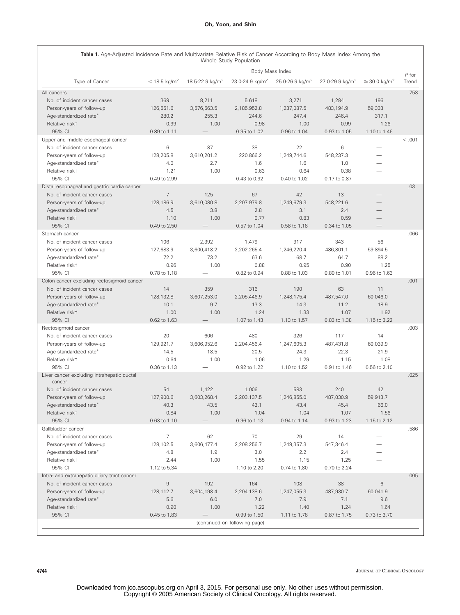|                                                      |                            |                             | Whole Study Population        |                             |                             |                               |         |
|------------------------------------------------------|----------------------------|-----------------------------|-------------------------------|-----------------------------|-----------------------------|-------------------------------|---------|
|                                                      |                            |                             | Body Mass Index               |                             |                             |                               | $P$ for |
| Type of Cancer                                       | $<$ 18.5 kg/m <sup>2</sup> | 18.5-22.9 kg/m <sup>2</sup> | 23.0-24.9 kg/m <sup>2</sup>   | 25.0-26.9 kg/m <sup>2</sup> | 27.0-29.9 kg/m <sup>2</sup> | $\geq$ 30.0 kg/m <sup>2</sup> | Trend   |
| All cancers                                          |                            |                             |                               |                             |                             |                               | .753    |
| No. of incident cancer cases                         | 369                        | 8,211                       | 5,618                         | 3,271                       | 1,284                       | 196                           |         |
| Person-years of follow-up                            | 126,551.6                  | 3,576,563.5                 | 2,185,952.8                   | 1,237,087.5                 | 483,194.9                   | 59,333                        |         |
| Age-standardized rate*                               | 280.2                      | 255.3                       | 244.6                         | 247.4                       | 246.4                       | 317.1                         |         |
| Relative riskt                                       | 0.99                       | 1.00                        | 0.98                          | 1.00                        | 0.99                        | 1.26                          |         |
| 95% CI                                               | 0.89 to 1.11               |                             | 0.95 to 1.02                  | 0.96 to 1.04                | 0.93 to 1.05                | 1.10 to 1.46                  |         |
| Upper and middle esophageal cancer                   |                            |                             |                               |                             |                             |                               | < .001  |
| No. of incident cancer cases                         | 6                          | 87                          | 38                            | 22                          | 6                           |                               |         |
| Person-years of follow-up                            | 128,205.8                  | 3,610,201.2                 | 220,866.2                     | 1,249,744.6                 | 548,237.3                   |                               |         |
| Age-standardized rate*                               | 4.0                        | 2.7                         | 1.6                           | 1.6                         | 1.0                         |                               |         |
| Relative riskt                                       | 1.21                       | 1.00                        | 0.63                          | 0.64                        | 0.38                        |                               |         |
| 95% CI                                               | 0.49 to 2.99               |                             | 0.43 to 0.92                  | 0.40 to 1.02                | 0.17 to 0.87                |                               |         |
| Distal esophageal and gastric cardia cancer          |                            |                             |                               |                             |                             |                               | .03     |
| No. of incident cancer cases                         | $\overline{7}$             | 125                         | 67                            | 42                          | 13                          |                               |         |
| Person-years of follow-up                            | 128,186.9                  | 3,610,080.8                 | 2,207,979.8                   | 1,249,679.3                 | 548,221.6                   |                               |         |
| Age-standardized rate*                               | 4.5                        | 3.8                         | 2.8                           | 3.1                         | 2.4                         |                               |         |
| Relative riskt                                       | 1.10                       | 1.00                        | 0.77                          | 0.83                        | 0.59                        |                               |         |
| 95% CI                                               | 0.49 to 2.50               |                             | 0.57 to 1.04                  | 0.58 to 1.18                | 0.34 to 1.05                |                               |         |
| Stomach cancer                                       |                            |                             |                               |                             |                             |                               | .066    |
| No. of incident cancer cases                         | 106                        | 2,392                       | 1,479                         | 917                         | 343                         | 56                            |         |
| Person-years of follow-up                            | 127,683.9                  | 3,600,418.2                 | 2,202,265.4                   | 1,246,220.4                 | 486,801.1                   | 59,894.5                      |         |
| Age-standardized rate*                               | 72.2                       | 73.2                        | 63.6                          | 68.7                        | 64.7                        | 88.2                          |         |
| Relative riskt                                       | 0.96                       | 1.00                        | 0.88                          | 0.95                        | 0.90                        | 1.25                          |         |
| 95% CI                                               | 0.78 to 1.18               |                             | 0.82 to 0.94                  | 0.88 to 1.03                | 0.80 to 1.01                | 0.96 to 1.63                  |         |
| Colon cancer excluding rectosigmoid cancer           |                            |                             |                               |                             |                             |                               | .001    |
| No. of incident cancer cases                         | 14                         | 359                         | 316                           | 190                         | 63                          | 11                            |         |
| Person-years of follow-up                            | 128,132.8                  | 3,607,253.0                 | 2,205,446.9                   | 1,248,175.4                 | 487,547.0                   | 60,046.0                      |         |
| Age-standardized rate*                               | 10.1                       | 9.7                         | 13.3                          | 14.3                        | 11.2                        | 18.9                          |         |
| Relative riskt                                       | 1.00                       | 1.00                        | 1.24                          | 1.33                        | 1.07                        | 1.92                          |         |
| 95% CI                                               | 0.62 to 1.63               |                             | 1.07 to 1.43                  | 1.13 to 1.57                | 0.83 to 1.38                | 1.15 to 3.22                  |         |
| Rectosigmoid cancer                                  |                            |                             |                               |                             |                             |                               | .003    |
| No. of incident cancer cases                         | 20                         | 606                         | 480                           | 326                         | 117                         | 14                            |         |
| Person-years of follow-up                            | 129,921.7                  | 3,606,952.6                 | 2,204,456.4                   | 1,247,605.3                 | 487,431.8                   | 60,039.9                      |         |
| Age-standardized rate*                               | 14.5                       | 18.5                        | 20.5                          | 24.3                        | 22.3                        | 21.9                          |         |
| Relative riskt                                       | 0.64                       | 1.00                        | 1.06                          | 1.29                        | 1.15                        | 1.08                          |         |
| 95% CI                                               | 0.36 to 1.13               |                             | 0.92 to 1.22                  | 1.10 to 1.52                | 0.91 to 1.46                | 0.56 to 2.10                  |         |
|                                                      |                            |                             |                               |                             |                             |                               | .025    |
| Liver cancer excluding intrahepatic ductal<br>cancer |                            |                             |                               |                             |                             |                               |         |
| No. of incident cancer cases                         | 54                         | 1,422                       | 1,006                         | 583                         | 240                         | 42                            |         |
| Person-years of follow-up                            | 127,900.6                  | 3,603,268.4                 | 2,203,137.5                   | 1,246,855.0                 | 487,030.9                   | 59,913.7                      |         |
| Age-standardized rate*                               | 40.3                       | 43.5                        | 43.1                          | 43.4                        | 45.4                        | 66.0                          |         |
| Relative riskt                                       | 0.84                       | 1.00                        | 1.04                          | 1.04                        | 1.07                        | 1.56                          |         |
| 95% CI                                               | 0.63 to 1.10               |                             | 0.96 to 1.13                  | 0.94 to 1.14                | 0.93 to 1.23                | 1.15 to 2.12                  |         |
| Gallbladder cancer                                   |                            |                             |                               |                             |                             |                               |         |
| No. of incident cancer cases                         | 7                          | 62                          | 70                            | 29                          |                             |                               | .586    |
|                                                      |                            |                             |                               |                             | 14                          |                               |         |
| Person-years of follow-up                            | 128,102.5                  | 3,606,477.4                 | 2,208,256.7                   | 1,249,357.3                 | 547,346.4                   |                               |         |
| Age-standardized rate*                               | 4.8                        | 1.9                         | 3.0                           | 2.2                         | 2.4                         |                               |         |
| Relative riskt                                       | 2.44                       | 1.00                        | 1.55                          | 1.15                        | 1.25                        |                               |         |
| 95% CI                                               | 1.12 to 5.34               |                             | 1.10 to 2.20                  | 0.74 to 1.80                | 0.70 to 2.24                |                               |         |
| Intra- and extrahepatic biliary tract cancer         |                            |                             |                               |                             |                             |                               | .005    |
| No. of incident cancer cases                         | $\boldsymbol{9}$           | 192                         | 164                           | 108                         | 38                          | $\,6$                         |         |
| Person-years of follow-up                            | 128,112.7                  | 3,604,198.4                 | 2,204,138.6                   | 1,247,055.3                 | 487,930.7                   | 60,041.9                      |         |
| Age-standardized rate*                               | 5.6                        | 6.0                         | 7.0                           | 7.9                         | 7.1                         | 9.6                           |         |
| Relative riskt                                       | 0.90                       | 1.00                        | 1.22                          | 1.40                        | 1.24                        | 1.64                          |         |
| 95% CI                                               | 0.45 to 1.83               |                             | 0.99 to 1.50                  | 1.11 to 1.78                | 0.87 to 1.75                | 0.73 to 3.70                  |         |
|                                                      |                            |                             | (continued on following page) |                             |                             |                               |         |

**4744** JOURNAL OF CLINICAL ONCOLOGY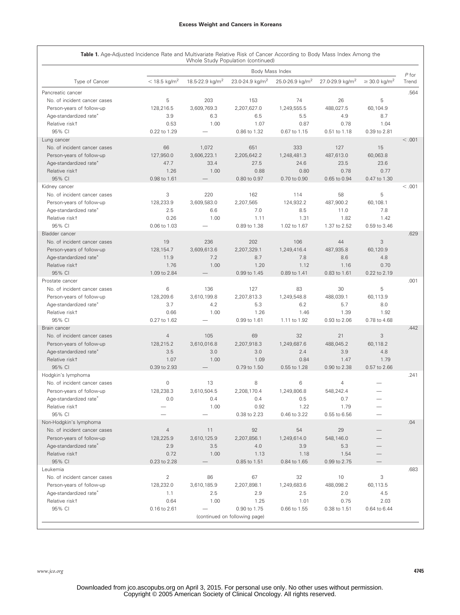| $<$ 18.5 kg/m <sup>2</sup><br>18.5-22.9 kg/m <sup>2</sup><br>23.0-24.9 kg/m <sup>2</sup><br>25.0-26.9 kg/m <sup>2</sup><br>27.0-29.9 kg/m <sup>2</sup><br>$\geq$ 30.0 kg/m <sup>2</sup><br>Type of Cancer<br>Trend<br>Pancreatic cancer<br>5<br>203<br>153<br>74<br>26<br>5<br>No. of incident cancer cases<br>3,609,769.3<br>2,207,627.0<br>1,249,555.5<br>488,027.5<br>60,104.9<br>Person-years of follow-up<br>128,216.5<br>6.3<br>4.9<br>Age-standardized rate*<br>3.9<br>6.5<br>5.5<br>8.7<br>Relative riskt<br>0.53<br>1.00<br>1.07<br>0.87<br>0.78<br>1.04<br>95% CI<br>0.22 to 1.29<br>0.86 to 1.32<br>0.51 to 1.18<br>0.67 to 1.15<br>0.39 to 2.81<br>< .001<br>Lung cancer<br>66<br>333<br>127<br>15<br>No. of incident cancer cases<br>1,072<br>651<br>127,950.0<br>3,606,223.1<br>487,613.0<br>60,063.8<br>Person-years of follow-up<br>2,205,642.2<br>1,248,481.3<br>33.4<br>27.5<br>23.5<br>Age-standardized rate*<br>47.7<br>24.6<br>23.6<br>1.26<br>1.00<br>0.88<br>0.80<br>0.78<br>0.77<br>Relative riskt<br>95% CI<br>0.98 to 1.61<br>0.80 to 0.97<br>0.65 to 0.94<br>0.47 to 1.30<br>0.70 to 0.90<br>< .001<br>Kidney cancer<br>3<br>220<br>162<br>58<br>5<br>No. of incident cancer cases<br>114<br>Person-years of follow-up<br>128,233.9<br>3,609,583.0<br>2,207,565<br>124,932.2<br>487,900.2<br>60,108.1<br>Age-standardized rate*<br>2.5<br>6.6<br>7.0<br>8.5<br>11.0<br>7.8<br>Relative riskt<br>0.26<br>1.00<br>1.82<br>1.11<br>1.31<br>1.42<br>95% CI<br>0.89 to 1.38<br>0.06 to 1.03<br>1.02 to 1.67<br>1.37 to 2.52<br>0.59 to 3.46<br>.629<br>Bladder cancer<br>19<br>236<br>202<br>106<br>3<br>No. of incident cancer cases<br>44<br>128,154.7<br>3,609,613.6<br>2,207,329.1<br>1,249,416.4<br>487,935.8<br>60,120.9<br>Person-years of follow-up<br>7.2<br>8.7<br>Age-standardized rate*<br>11.9<br>7.8<br>8.6<br>4.8<br>1.76<br>1.00<br>1.20<br>1.12<br>0.70<br>Relative riskt<br>1.16<br>95% CI<br>1.09 to 2.84<br>0.99 to 1.45<br>0.83 to 1.61<br>0.89 to 1.41<br>0.22 to 2.19<br>.001<br>Prostate cancer<br>6<br>136<br>127<br>83<br>30<br>5<br>No. of incident cancer cases<br>128,209.6<br>3,610,199.8<br>2,207,813.3<br>1,249,548.8<br>488,039.1<br>60,113.9<br>Person-years of follow-up<br>4.2<br>5.3<br>5.7<br>Age-standardized rate*<br>3.7<br>6.2<br>8.0<br>Relative riskt<br>0.66<br>1.00<br>1.26<br>1.39<br>1.92<br>1.46<br>95% CI<br>0.27 to 1.62<br>0.99 to 1.61<br>0.93 to 2.06<br>1.11 to 1.92<br>0.78 to 4.68<br>.442<br>Brain cancer<br>69<br>32<br>21<br>3<br>No. of incident cancer cases<br>$\overline{4}$<br>105<br>128,215.2<br>3,610,016.8<br>1,249,687.6<br>488,045.2<br>60,118.2<br>Person-years of follow-up<br>2,207,918.3<br>3.0<br>2.4<br>3.9<br>Age-standardized rate*<br>3.5<br>3.0<br>4.8<br>1.00<br>0.84<br>1.79<br>Relative riskt<br>1.07<br>1.09<br>1.47<br>95% CI<br>0.39 to 2.93<br>0.79 to 1.50<br>0.90 to 2.38<br>0.57 to 2.66<br>0.55 to 1.28<br>.241<br>Hodgkin's lymphoma<br>$\mathbb O$<br>13<br>8<br>6<br>$\overline{4}$<br>No. of incident cancer cases<br>128,238.3<br>3,610,504.5<br>2,208,170.4<br>1,249,806.8<br>548,242.4<br>Person-years of follow-up<br>0.0<br>0.4<br>0.4<br>0.5<br>0.7<br>Age-standardized rate*<br>Relative riskt<br>1.00<br>0.92<br>1.22<br>1.79<br>95% CI<br>0.38 to 2.23<br>0.46 to 3.22<br>0.55 to 6.56<br>Non-Hodgkin's lymphoma<br>.04<br>92<br>29<br>No. of incident cancer cases<br>$\overline{4}$<br>11<br>54<br>128,225.9<br>3,610,125.9<br>Person-years of follow-up<br>2,207,856.1<br>1,249,614.0<br>548,146.0<br>3.5<br>5.3<br>Age-standardized rate*<br>2.9<br>4.0<br>3.9<br>0.72<br>1.00<br>Relative riskt<br>1.13<br>1.18<br>1.54<br>95% CI<br>0.23 to 2.28<br>0.85 to 1.51<br>0.99 to 2.75<br>0.84 to 1.65<br>Leukemia<br>$\overline{2}$<br>86<br>32<br>3<br>No. of incident cancer cases<br>67<br>10<br>128,232.0<br>3,610,185.9<br>1,249,683.6<br>488,098.2<br>60,113.5<br>Person-years of follow-up<br>2,207,898.1<br>2.5<br>2.0<br>Age-standardized rate*<br>1.1<br>2.9<br>2.5<br>4.5<br>Relative riskt<br>0.64<br>1.00<br>1.01<br>0.75<br>2.03<br>1.25 |        |              |              | Body Mass Index |              |              |         |
|----------------------------------------------------------------------------------------------------------------------------------------------------------------------------------------------------------------------------------------------------------------------------------------------------------------------------------------------------------------------------------------------------------------------------------------------------------------------------------------------------------------------------------------------------------------------------------------------------------------------------------------------------------------------------------------------------------------------------------------------------------------------------------------------------------------------------------------------------------------------------------------------------------------------------------------------------------------------------------------------------------------------------------------------------------------------------------------------------------------------------------------------------------------------------------------------------------------------------------------------------------------------------------------------------------------------------------------------------------------------------------------------------------------------------------------------------------------------------------------------------------------------------------------------------------------------------------------------------------------------------------------------------------------------------------------------------------------------------------------------------------------------------------------------------------------------------------------------------------------------------------------------------------------------------------------------------------------------------------------------------------------------------------------------------------------------------------------------------------------------------------------------------------------------------------------------------------------------------------------------------------------------------------------------------------------------------------------------------------------------------------------------------------------------------------------------------------------------------------------------------------------------------------------------------------------------------------------------------------------------------------------------------------------------------------------------------------------------------------------------------------------------------------------------------------------------------------------------------------------------------------------------------------------------------------------------------------------------------------------------------------------------------------------------------------------------------------------------------------------------------------------------------------------------------------------------------------------------------------------------------------------------------------------------------------------------------------------------------------------------------------------------------------------------------------------------------------------------------------------------------------------------------------------------------------------------------------------------------------------------------------------------------------------------------------------------------------------------------------------------------------------------------------------------------------------------------------------------------------------------------------------------------------------------------------------------------------------------------------------------------------------------------------------------------------------------------------------|--------|--------------|--------------|-----------------|--------------|--------------|---------|
|                                                                                                                                                                                                                                                                                                                                                                                                                                                                                                                                                                                                                                                                                                                                                                                                                                                                                                                                                                                                                                                                                                                                                                                                                                                                                                                                                                                                                                                                                                                                                                                                                                                                                                                                                                                                                                                                                                                                                                                                                                                                                                                                                                                                                                                                                                                                                                                                                                                                                                                                                                                                                                                                                                                                                                                                                                                                                                                                                                                                                                                                                                                                                                                                                                                                                                                                                                                                                                                                                                                                                                                                                                                                                                                                                                                                                                                                                                                                                                                                                                                                                        |        |              |              |                 |              |              | $P$ for |
|                                                                                                                                                                                                                                                                                                                                                                                                                                                                                                                                                                                                                                                                                                                                                                                                                                                                                                                                                                                                                                                                                                                                                                                                                                                                                                                                                                                                                                                                                                                                                                                                                                                                                                                                                                                                                                                                                                                                                                                                                                                                                                                                                                                                                                                                                                                                                                                                                                                                                                                                                                                                                                                                                                                                                                                                                                                                                                                                                                                                                                                                                                                                                                                                                                                                                                                                                                                                                                                                                                                                                                                                                                                                                                                                                                                                                                                                                                                                                                                                                                                                                        |        |              |              |                 |              |              | .564    |
|                                                                                                                                                                                                                                                                                                                                                                                                                                                                                                                                                                                                                                                                                                                                                                                                                                                                                                                                                                                                                                                                                                                                                                                                                                                                                                                                                                                                                                                                                                                                                                                                                                                                                                                                                                                                                                                                                                                                                                                                                                                                                                                                                                                                                                                                                                                                                                                                                                                                                                                                                                                                                                                                                                                                                                                                                                                                                                                                                                                                                                                                                                                                                                                                                                                                                                                                                                                                                                                                                                                                                                                                                                                                                                                                                                                                                                                                                                                                                                                                                                                                                        |        |              |              |                 |              |              |         |
|                                                                                                                                                                                                                                                                                                                                                                                                                                                                                                                                                                                                                                                                                                                                                                                                                                                                                                                                                                                                                                                                                                                                                                                                                                                                                                                                                                                                                                                                                                                                                                                                                                                                                                                                                                                                                                                                                                                                                                                                                                                                                                                                                                                                                                                                                                                                                                                                                                                                                                                                                                                                                                                                                                                                                                                                                                                                                                                                                                                                                                                                                                                                                                                                                                                                                                                                                                                                                                                                                                                                                                                                                                                                                                                                                                                                                                                                                                                                                                                                                                                                                        |        |              |              |                 |              |              |         |
|                                                                                                                                                                                                                                                                                                                                                                                                                                                                                                                                                                                                                                                                                                                                                                                                                                                                                                                                                                                                                                                                                                                                                                                                                                                                                                                                                                                                                                                                                                                                                                                                                                                                                                                                                                                                                                                                                                                                                                                                                                                                                                                                                                                                                                                                                                                                                                                                                                                                                                                                                                                                                                                                                                                                                                                                                                                                                                                                                                                                                                                                                                                                                                                                                                                                                                                                                                                                                                                                                                                                                                                                                                                                                                                                                                                                                                                                                                                                                                                                                                                                                        |        |              |              |                 |              |              |         |
|                                                                                                                                                                                                                                                                                                                                                                                                                                                                                                                                                                                                                                                                                                                                                                                                                                                                                                                                                                                                                                                                                                                                                                                                                                                                                                                                                                                                                                                                                                                                                                                                                                                                                                                                                                                                                                                                                                                                                                                                                                                                                                                                                                                                                                                                                                                                                                                                                                                                                                                                                                                                                                                                                                                                                                                                                                                                                                                                                                                                                                                                                                                                                                                                                                                                                                                                                                                                                                                                                                                                                                                                                                                                                                                                                                                                                                                                                                                                                                                                                                                                                        |        |              |              |                 |              |              |         |
|                                                                                                                                                                                                                                                                                                                                                                                                                                                                                                                                                                                                                                                                                                                                                                                                                                                                                                                                                                                                                                                                                                                                                                                                                                                                                                                                                                                                                                                                                                                                                                                                                                                                                                                                                                                                                                                                                                                                                                                                                                                                                                                                                                                                                                                                                                                                                                                                                                                                                                                                                                                                                                                                                                                                                                                                                                                                                                                                                                                                                                                                                                                                                                                                                                                                                                                                                                                                                                                                                                                                                                                                                                                                                                                                                                                                                                                                                                                                                                                                                                                                                        |        |              |              |                 |              |              |         |
|                                                                                                                                                                                                                                                                                                                                                                                                                                                                                                                                                                                                                                                                                                                                                                                                                                                                                                                                                                                                                                                                                                                                                                                                                                                                                                                                                                                                                                                                                                                                                                                                                                                                                                                                                                                                                                                                                                                                                                                                                                                                                                                                                                                                                                                                                                                                                                                                                                                                                                                                                                                                                                                                                                                                                                                                                                                                                                                                                                                                                                                                                                                                                                                                                                                                                                                                                                                                                                                                                                                                                                                                                                                                                                                                                                                                                                                                                                                                                                                                                                                                                        |        |              |              |                 |              |              |         |
|                                                                                                                                                                                                                                                                                                                                                                                                                                                                                                                                                                                                                                                                                                                                                                                                                                                                                                                                                                                                                                                                                                                                                                                                                                                                                                                                                                                                                                                                                                                                                                                                                                                                                                                                                                                                                                                                                                                                                                                                                                                                                                                                                                                                                                                                                                                                                                                                                                                                                                                                                                                                                                                                                                                                                                                                                                                                                                                                                                                                                                                                                                                                                                                                                                                                                                                                                                                                                                                                                                                                                                                                                                                                                                                                                                                                                                                                                                                                                                                                                                                                                        |        |              |              |                 |              |              |         |
|                                                                                                                                                                                                                                                                                                                                                                                                                                                                                                                                                                                                                                                                                                                                                                                                                                                                                                                                                                                                                                                                                                                                                                                                                                                                                                                                                                                                                                                                                                                                                                                                                                                                                                                                                                                                                                                                                                                                                                                                                                                                                                                                                                                                                                                                                                                                                                                                                                                                                                                                                                                                                                                                                                                                                                                                                                                                                                                                                                                                                                                                                                                                                                                                                                                                                                                                                                                                                                                                                                                                                                                                                                                                                                                                                                                                                                                                                                                                                                                                                                                                                        |        |              |              |                 |              |              |         |
|                                                                                                                                                                                                                                                                                                                                                                                                                                                                                                                                                                                                                                                                                                                                                                                                                                                                                                                                                                                                                                                                                                                                                                                                                                                                                                                                                                                                                                                                                                                                                                                                                                                                                                                                                                                                                                                                                                                                                                                                                                                                                                                                                                                                                                                                                                                                                                                                                                                                                                                                                                                                                                                                                                                                                                                                                                                                                                                                                                                                                                                                                                                                                                                                                                                                                                                                                                                                                                                                                                                                                                                                                                                                                                                                                                                                                                                                                                                                                                                                                                                                                        |        |              |              |                 |              |              |         |
|                                                                                                                                                                                                                                                                                                                                                                                                                                                                                                                                                                                                                                                                                                                                                                                                                                                                                                                                                                                                                                                                                                                                                                                                                                                                                                                                                                                                                                                                                                                                                                                                                                                                                                                                                                                                                                                                                                                                                                                                                                                                                                                                                                                                                                                                                                                                                                                                                                                                                                                                                                                                                                                                                                                                                                                                                                                                                                                                                                                                                                                                                                                                                                                                                                                                                                                                                                                                                                                                                                                                                                                                                                                                                                                                                                                                                                                                                                                                                                                                                                                                                        |        |              |              |                 |              |              |         |
|                                                                                                                                                                                                                                                                                                                                                                                                                                                                                                                                                                                                                                                                                                                                                                                                                                                                                                                                                                                                                                                                                                                                                                                                                                                                                                                                                                                                                                                                                                                                                                                                                                                                                                                                                                                                                                                                                                                                                                                                                                                                                                                                                                                                                                                                                                                                                                                                                                                                                                                                                                                                                                                                                                                                                                                                                                                                                                                                                                                                                                                                                                                                                                                                                                                                                                                                                                                                                                                                                                                                                                                                                                                                                                                                                                                                                                                                                                                                                                                                                                                                                        |        |              |              |                 |              |              |         |
|                                                                                                                                                                                                                                                                                                                                                                                                                                                                                                                                                                                                                                                                                                                                                                                                                                                                                                                                                                                                                                                                                                                                                                                                                                                                                                                                                                                                                                                                                                                                                                                                                                                                                                                                                                                                                                                                                                                                                                                                                                                                                                                                                                                                                                                                                                                                                                                                                                                                                                                                                                                                                                                                                                                                                                                                                                                                                                                                                                                                                                                                                                                                                                                                                                                                                                                                                                                                                                                                                                                                                                                                                                                                                                                                                                                                                                                                                                                                                                                                                                                                                        |        |              |              |                 |              |              |         |
|                                                                                                                                                                                                                                                                                                                                                                                                                                                                                                                                                                                                                                                                                                                                                                                                                                                                                                                                                                                                                                                                                                                                                                                                                                                                                                                                                                                                                                                                                                                                                                                                                                                                                                                                                                                                                                                                                                                                                                                                                                                                                                                                                                                                                                                                                                                                                                                                                                                                                                                                                                                                                                                                                                                                                                                                                                                                                                                                                                                                                                                                                                                                                                                                                                                                                                                                                                                                                                                                                                                                                                                                                                                                                                                                                                                                                                                                                                                                                                                                                                                                                        |        |              |              |                 |              |              |         |
|                                                                                                                                                                                                                                                                                                                                                                                                                                                                                                                                                                                                                                                                                                                                                                                                                                                                                                                                                                                                                                                                                                                                                                                                                                                                                                                                                                                                                                                                                                                                                                                                                                                                                                                                                                                                                                                                                                                                                                                                                                                                                                                                                                                                                                                                                                                                                                                                                                                                                                                                                                                                                                                                                                                                                                                                                                                                                                                                                                                                                                                                                                                                                                                                                                                                                                                                                                                                                                                                                                                                                                                                                                                                                                                                                                                                                                                                                                                                                                                                                                                                                        |        |              |              |                 |              |              |         |
|                                                                                                                                                                                                                                                                                                                                                                                                                                                                                                                                                                                                                                                                                                                                                                                                                                                                                                                                                                                                                                                                                                                                                                                                                                                                                                                                                                                                                                                                                                                                                                                                                                                                                                                                                                                                                                                                                                                                                                                                                                                                                                                                                                                                                                                                                                                                                                                                                                                                                                                                                                                                                                                                                                                                                                                                                                                                                                                                                                                                                                                                                                                                                                                                                                                                                                                                                                                                                                                                                                                                                                                                                                                                                                                                                                                                                                                                                                                                                                                                                                                                                        |        |              |              |                 |              |              |         |
|                                                                                                                                                                                                                                                                                                                                                                                                                                                                                                                                                                                                                                                                                                                                                                                                                                                                                                                                                                                                                                                                                                                                                                                                                                                                                                                                                                                                                                                                                                                                                                                                                                                                                                                                                                                                                                                                                                                                                                                                                                                                                                                                                                                                                                                                                                                                                                                                                                                                                                                                                                                                                                                                                                                                                                                                                                                                                                                                                                                                                                                                                                                                                                                                                                                                                                                                                                                                                                                                                                                                                                                                                                                                                                                                                                                                                                                                                                                                                                                                                                                                                        |        |              |              |                 |              |              |         |
|                                                                                                                                                                                                                                                                                                                                                                                                                                                                                                                                                                                                                                                                                                                                                                                                                                                                                                                                                                                                                                                                                                                                                                                                                                                                                                                                                                                                                                                                                                                                                                                                                                                                                                                                                                                                                                                                                                                                                                                                                                                                                                                                                                                                                                                                                                                                                                                                                                                                                                                                                                                                                                                                                                                                                                                                                                                                                                                                                                                                                                                                                                                                                                                                                                                                                                                                                                                                                                                                                                                                                                                                                                                                                                                                                                                                                                                                                                                                                                                                                                                                                        |        |              |              |                 |              |              |         |
|                                                                                                                                                                                                                                                                                                                                                                                                                                                                                                                                                                                                                                                                                                                                                                                                                                                                                                                                                                                                                                                                                                                                                                                                                                                                                                                                                                                                                                                                                                                                                                                                                                                                                                                                                                                                                                                                                                                                                                                                                                                                                                                                                                                                                                                                                                                                                                                                                                                                                                                                                                                                                                                                                                                                                                                                                                                                                                                                                                                                                                                                                                                                                                                                                                                                                                                                                                                                                                                                                                                                                                                                                                                                                                                                                                                                                                                                                                                                                                                                                                                                                        |        |              |              |                 |              |              |         |
|                                                                                                                                                                                                                                                                                                                                                                                                                                                                                                                                                                                                                                                                                                                                                                                                                                                                                                                                                                                                                                                                                                                                                                                                                                                                                                                                                                                                                                                                                                                                                                                                                                                                                                                                                                                                                                                                                                                                                                                                                                                                                                                                                                                                                                                                                                                                                                                                                                                                                                                                                                                                                                                                                                                                                                                                                                                                                                                                                                                                                                                                                                                                                                                                                                                                                                                                                                                                                                                                                                                                                                                                                                                                                                                                                                                                                                                                                                                                                                                                                                                                                        |        |              |              |                 |              |              |         |
|                                                                                                                                                                                                                                                                                                                                                                                                                                                                                                                                                                                                                                                                                                                                                                                                                                                                                                                                                                                                                                                                                                                                                                                                                                                                                                                                                                                                                                                                                                                                                                                                                                                                                                                                                                                                                                                                                                                                                                                                                                                                                                                                                                                                                                                                                                                                                                                                                                                                                                                                                                                                                                                                                                                                                                                                                                                                                                                                                                                                                                                                                                                                                                                                                                                                                                                                                                                                                                                                                                                                                                                                                                                                                                                                                                                                                                                                                                                                                                                                                                                                                        |        |              |              |                 |              |              |         |
|                                                                                                                                                                                                                                                                                                                                                                                                                                                                                                                                                                                                                                                                                                                                                                                                                                                                                                                                                                                                                                                                                                                                                                                                                                                                                                                                                                                                                                                                                                                                                                                                                                                                                                                                                                                                                                                                                                                                                                                                                                                                                                                                                                                                                                                                                                                                                                                                                                                                                                                                                                                                                                                                                                                                                                                                                                                                                                                                                                                                                                                                                                                                                                                                                                                                                                                                                                                                                                                                                                                                                                                                                                                                                                                                                                                                                                                                                                                                                                                                                                                                                        |        |              |              |                 |              |              |         |
|                                                                                                                                                                                                                                                                                                                                                                                                                                                                                                                                                                                                                                                                                                                                                                                                                                                                                                                                                                                                                                                                                                                                                                                                                                                                                                                                                                                                                                                                                                                                                                                                                                                                                                                                                                                                                                                                                                                                                                                                                                                                                                                                                                                                                                                                                                                                                                                                                                                                                                                                                                                                                                                                                                                                                                                                                                                                                                                                                                                                                                                                                                                                                                                                                                                                                                                                                                                                                                                                                                                                                                                                                                                                                                                                                                                                                                                                                                                                                                                                                                                                                        |        |              |              |                 |              |              |         |
|                                                                                                                                                                                                                                                                                                                                                                                                                                                                                                                                                                                                                                                                                                                                                                                                                                                                                                                                                                                                                                                                                                                                                                                                                                                                                                                                                                                                                                                                                                                                                                                                                                                                                                                                                                                                                                                                                                                                                                                                                                                                                                                                                                                                                                                                                                                                                                                                                                                                                                                                                                                                                                                                                                                                                                                                                                                                                                                                                                                                                                                                                                                                                                                                                                                                                                                                                                                                                                                                                                                                                                                                                                                                                                                                                                                                                                                                                                                                                                                                                                                                                        |        |              |              |                 |              |              |         |
|                                                                                                                                                                                                                                                                                                                                                                                                                                                                                                                                                                                                                                                                                                                                                                                                                                                                                                                                                                                                                                                                                                                                                                                                                                                                                                                                                                                                                                                                                                                                                                                                                                                                                                                                                                                                                                                                                                                                                                                                                                                                                                                                                                                                                                                                                                                                                                                                                                                                                                                                                                                                                                                                                                                                                                                                                                                                                                                                                                                                                                                                                                                                                                                                                                                                                                                                                                                                                                                                                                                                                                                                                                                                                                                                                                                                                                                                                                                                                                                                                                                                                        |        |              |              |                 |              |              |         |
|                                                                                                                                                                                                                                                                                                                                                                                                                                                                                                                                                                                                                                                                                                                                                                                                                                                                                                                                                                                                                                                                                                                                                                                                                                                                                                                                                                                                                                                                                                                                                                                                                                                                                                                                                                                                                                                                                                                                                                                                                                                                                                                                                                                                                                                                                                                                                                                                                                                                                                                                                                                                                                                                                                                                                                                                                                                                                                                                                                                                                                                                                                                                                                                                                                                                                                                                                                                                                                                                                                                                                                                                                                                                                                                                                                                                                                                                                                                                                                                                                                                                                        |        |              |              |                 |              |              |         |
|                                                                                                                                                                                                                                                                                                                                                                                                                                                                                                                                                                                                                                                                                                                                                                                                                                                                                                                                                                                                                                                                                                                                                                                                                                                                                                                                                                                                                                                                                                                                                                                                                                                                                                                                                                                                                                                                                                                                                                                                                                                                                                                                                                                                                                                                                                                                                                                                                                                                                                                                                                                                                                                                                                                                                                                                                                                                                                                                                                                                                                                                                                                                                                                                                                                                                                                                                                                                                                                                                                                                                                                                                                                                                                                                                                                                                                                                                                                                                                                                                                                                                        |        |              |              |                 |              |              |         |
|                                                                                                                                                                                                                                                                                                                                                                                                                                                                                                                                                                                                                                                                                                                                                                                                                                                                                                                                                                                                                                                                                                                                                                                                                                                                                                                                                                                                                                                                                                                                                                                                                                                                                                                                                                                                                                                                                                                                                                                                                                                                                                                                                                                                                                                                                                                                                                                                                                                                                                                                                                                                                                                                                                                                                                                                                                                                                                                                                                                                                                                                                                                                                                                                                                                                                                                                                                                                                                                                                                                                                                                                                                                                                                                                                                                                                                                                                                                                                                                                                                                                                        |        |              |              |                 |              |              |         |
|                                                                                                                                                                                                                                                                                                                                                                                                                                                                                                                                                                                                                                                                                                                                                                                                                                                                                                                                                                                                                                                                                                                                                                                                                                                                                                                                                                                                                                                                                                                                                                                                                                                                                                                                                                                                                                                                                                                                                                                                                                                                                                                                                                                                                                                                                                                                                                                                                                                                                                                                                                                                                                                                                                                                                                                                                                                                                                                                                                                                                                                                                                                                                                                                                                                                                                                                                                                                                                                                                                                                                                                                                                                                                                                                                                                                                                                                                                                                                                                                                                                                                        |        |              |              |                 |              |              |         |
|                                                                                                                                                                                                                                                                                                                                                                                                                                                                                                                                                                                                                                                                                                                                                                                                                                                                                                                                                                                                                                                                                                                                                                                                                                                                                                                                                                                                                                                                                                                                                                                                                                                                                                                                                                                                                                                                                                                                                                                                                                                                                                                                                                                                                                                                                                                                                                                                                                                                                                                                                                                                                                                                                                                                                                                                                                                                                                                                                                                                                                                                                                                                                                                                                                                                                                                                                                                                                                                                                                                                                                                                                                                                                                                                                                                                                                                                                                                                                                                                                                                                                        |        |              |              |                 |              |              |         |
|                                                                                                                                                                                                                                                                                                                                                                                                                                                                                                                                                                                                                                                                                                                                                                                                                                                                                                                                                                                                                                                                                                                                                                                                                                                                                                                                                                                                                                                                                                                                                                                                                                                                                                                                                                                                                                                                                                                                                                                                                                                                                                                                                                                                                                                                                                                                                                                                                                                                                                                                                                                                                                                                                                                                                                                                                                                                                                                                                                                                                                                                                                                                                                                                                                                                                                                                                                                                                                                                                                                                                                                                                                                                                                                                                                                                                                                                                                                                                                                                                                                                                        |        |              |              |                 |              |              |         |
|                                                                                                                                                                                                                                                                                                                                                                                                                                                                                                                                                                                                                                                                                                                                                                                                                                                                                                                                                                                                                                                                                                                                                                                                                                                                                                                                                                                                                                                                                                                                                                                                                                                                                                                                                                                                                                                                                                                                                                                                                                                                                                                                                                                                                                                                                                                                                                                                                                                                                                                                                                                                                                                                                                                                                                                                                                                                                                                                                                                                                                                                                                                                                                                                                                                                                                                                                                                                                                                                                                                                                                                                                                                                                                                                                                                                                                                                                                                                                                                                                                                                                        |        |              |              |                 |              |              |         |
|                                                                                                                                                                                                                                                                                                                                                                                                                                                                                                                                                                                                                                                                                                                                                                                                                                                                                                                                                                                                                                                                                                                                                                                                                                                                                                                                                                                                                                                                                                                                                                                                                                                                                                                                                                                                                                                                                                                                                                                                                                                                                                                                                                                                                                                                                                                                                                                                                                                                                                                                                                                                                                                                                                                                                                                                                                                                                                                                                                                                                                                                                                                                                                                                                                                                                                                                                                                                                                                                                                                                                                                                                                                                                                                                                                                                                                                                                                                                                                                                                                                                                        |        |              |              |                 |              |              |         |
|                                                                                                                                                                                                                                                                                                                                                                                                                                                                                                                                                                                                                                                                                                                                                                                                                                                                                                                                                                                                                                                                                                                                                                                                                                                                                                                                                                                                                                                                                                                                                                                                                                                                                                                                                                                                                                                                                                                                                                                                                                                                                                                                                                                                                                                                                                                                                                                                                                                                                                                                                                                                                                                                                                                                                                                                                                                                                                                                                                                                                                                                                                                                                                                                                                                                                                                                                                                                                                                                                                                                                                                                                                                                                                                                                                                                                                                                                                                                                                                                                                                                                        |        |              |              |                 |              |              |         |
|                                                                                                                                                                                                                                                                                                                                                                                                                                                                                                                                                                                                                                                                                                                                                                                                                                                                                                                                                                                                                                                                                                                                                                                                                                                                                                                                                                                                                                                                                                                                                                                                                                                                                                                                                                                                                                                                                                                                                                                                                                                                                                                                                                                                                                                                                                                                                                                                                                                                                                                                                                                                                                                                                                                                                                                                                                                                                                                                                                                                                                                                                                                                                                                                                                                                                                                                                                                                                                                                                                                                                                                                                                                                                                                                                                                                                                                                                                                                                                                                                                                                                        |        |              |              |                 |              |              |         |
|                                                                                                                                                                                                                                                                                                                                                                                                                                                                                                                                                                                                                                                                                                                                                                                                                                                                                                                                                                                                                                                                                                                                                                                                                                                                                                                                                                                                                                                                                                                                                                                                                                                                                                                                                                                                                                                                                                                                                                                                                                                                                                                                                                                                                                                                                                                                                                                                                                                                                                                                                                                                                                                                                                                                                                                                                                                                                                                                                                                                                                                                                                                                                                                                                                                                                                                                                                                                                                                                                                                                                                                                                                                                                                                                                                                                                                                                                                                                                                                                                                                                                        |        |              |              |                 |              |              |         |
|                                                                                                                                                                                                                                                                                                                                                                                                                                                                                                                                                                                                                                                                                                                                                                                                                                                                                                                                                                                                                                                                                                                                                                                                                                                                                                                                                                                                                                                                                                                                                                                                                                                                                                                                                                                                                                                                                                                                                                                                                                                                                                                                                                                                                                                                                                                                                                                                                                                                                                                                                                                                                                                                                                                                                                                                                                                                                                                                                                                                                                                                                                                                                                                                                                                                                                                                                                                                                                                                                                                                                                                                                                                                                                                                                                                                                                                                                                                                                                                                                                                                                        |        |              |              |                 |              |              |         |
|                                                                                                                                                                                                                                                                                                                                                                                                                                                                                                                                                                                                                                                                                                                                                                                                                                                                                                                                                                                                                                                                                                                                                                                                                                                                                                                                                                                                                                                                                                                                                                                                                                                                                                                                                                                                                                                                                                                                                                                                                                                                                                                                                                                                                                                                                                                                                                                                                                                                                                                                                                                                                                                                                                                                                                                                                                                                                                                                                                                                                                                                                                                                                                                                                                                                                                                                                                                                                                                                                                                                                                                                                                                                                                                                                                                                                                                                                                                                                                                                                                                                                        |        |              |              |                 |              |              |         |
|                                                                                                                                                                                                                                                                                                                                                                                                                                                                                                                                                                                                                                                                                                                                                                                                                                                                                                                                                                                                                                                                                                                                                                                                                                                                                                                                                                                                                                                                                                                                                                                                                                                                                                                                                                                                                                                                                                                                                                                                                                                                                                                                                                                                                                                                                                                                                                                                                                                                                                                                                                                                                                                                                                                                                                                                                                                                                                                                                                                                                                                                                                                                                                                                                                                                                                                                                                                                                                                                                                                                                                                                                                                                                                                                                                                                                                                                                                                                                                                                                                                                                        |        |              |              |                 |              |              |         |
|                                                                                                                                                                                                                                                                                                                                                                                                                                                                                                                                                                                                                                                                                                                                                                                                                                                                                                                                                                                                                                                                                                                                                                                                                                                                                                                                                                                                                                                                                                                                                                                                                                                                                                                                                                                                                                                                                                                                                                                                                                                                                                                                                                                                                                                                                                                                                                                                                                                                                                                                                                                                                                                                                                                                                                                                                                                                                                                                                                                                                                                                                                                                                                                                                                                                                                                                                                                                                                                                                                                                                                                                                                                                                                                                                                                                                                                                                                                                                                                                                                                                                        |        |              |              |                 |              |              |         |
|                                                                                                                                                                                                                                                                                                                                                                                                                                                                                                                                                                                                                                                                                                                                                                                                                                                                                                                                                                                                                                                                                                                                                                                                                                                                                                                                                                                                                                                                                                                                                                                                                                                                                                                                                                                                                                                                                                                                                                                                                                                                                                                                                                                                                                                                                                                                                                                                                                                                                                                                                                                                                                                                                                                                                                                                                                                                                                                                                                                                                                                                                                                                                                                                                                                                                                                                                                                                                                                                                                                                                                                                                                                                                                                                                                                                                                                                                                                                                                                                                                                                                        |        |              |              |                 |              |              |         |
|                                                                                                                                                                                                                                                                                                                                                                                                                                                                                                                                                                                                                                                                                                                                                                                                                                                                                                                                                                                                                                                                                                                                                                                                                                                                                                                                                                                                                                                                                                                                                                                                                                                                                                                                                                                                                                                                                                                                                                                                                                                                                                                                                                                                                                                                                                                                                                                                                                                                                                                                                                                                                                                                                                                                                                                                                                                                                                                                                                                                                                                                                                                                                                                                                                                                                                                                                                                                                                                                                                                                                                                                                                                                                                                                                                                                                                                                                                                                                                                                                                                                                        |        |              |              |                 |              |              |         |
|                                                                                                                                                                                                                                                                                                                                                                                                                                                                                                                                                                                                                                                                                                                                                                                                                                                                                                                                                                                                                                                                                                                                                                                                                                                                                                                                                                                                                                                                                                                                                                                                                                                                                                                                                                                                                                                                                                                                                                                                                                                                                                                                                                                                                                                                                                                                                                                                                                                                                                                                                                                                                                                                                                                                                                                                                                                                                                                                                                                                                                                                                                                                                                                                                                                                                                                                                                                                                                                                                                                                                                                                                                                                                                                                                                                                                                                                                                                                                                                                                                                                                        |        |              |              |                 |              |              |         |
|                                                                                                                                                                                                                                                                                                                                                                                                                                                                                                                                                                                                                                                                                                                                                                                                                                                                                                                                                                                                                                                                                                                                                                                                                                                                                                                                                                                                                                                                                                                                                                                                                                                                                                                                                                                                                                                                                                                                                                                                                                                                                                                                                                                                                                                                                                                                                                                                                                                                                                                                                                                                                                                                                                                                                                                                                                                                                                                                                                                                                                                                                                                                                                                                                                                                                                                                                                                                                                                                                                                                                                                                                                                                                                                                                                                                                                                                                                                                                                                                                                                                                        |        |              |              |                 |              |              |         |
|                                                                                                                                                                                                                                                                                                                                                                                                                                                                                                                                                                                                                                                                                                                                                                                                                                                                                                                                                                                                                                                                                                                                                                                                                                                                                                                                                                                                                                                                                                                                                                                                                                                                                                                                                                                                                                                                                                                                                                                                                                                                                                                                                                                                                                                                                                                                                                                                                                                                                                                                                                                                                                                                                                                                                                                                                                                                                                                                                                                                                                                                                                                                                                                                                                                                                                                                                                                                                                                                                                                                                                                                                                                                                                                                                                                                                                                                                                                                                                                                                                                                                        |        |              |              |                 |              |              |         |
|                                                                                                                                                                                                                                                                                                                                                                                                                                                                                                                                                                                                                                                                                                                                                                                                                                                                                                                                                                                                                                                                                                                                                                                                                                                                                                                                                                                                                                                                                                                                                                                                                                                                                                                                                                                                                                                                                                                                                                                                                                                                                                                                                                                                                                                                                                                                                                                                                                                                                                                                                                                                                                                                                                                                                                                                                                                                                                                                                                                                                                                                                                                                                                                                                                                                                                                                                                                                                                                                                                                                                                                                                                                                                                                                                                                                                                                                                                                                                                                                                                                                                        |        |              |              |                 |              |              |         |
|                                                                                                                                                                                                                                                                                                                                                                                                                                                                                                                                                                                                                                                                                                                                                                                                                                                                                                                                                                                                                                                                                                                                                                                                                                                                                                                                                                                                                                                                                                                                                                                                                                                                                                                                                                                                                                                                                                                                                                                                                                                                                                                                                                                                                                                                                                                                                                                                                                                                                                                                                                                                                                                                                                                                                                                                                                                                                                                                                                                                                                                                                                                                                                                                                                                                                                                                                                                                                                                                                                                                                                                                                                                                                                                                                                                                                                                                                                                                                                                                                                                                                        |        |              |              |                 |              |              |         |
|                                                                                                                                                                                                                                                                                                                                                                                                                                                                                                                                                                                                                                                                                                                                                                                                                                                                                                                                                                                                                                                                                                                                                                                                                                                                                                                                                                                                                                                                                                                                                                                                                                                                                                                                                                                                                                                                                                                                                                                                                                                                                                                                                                                                                                                                                                                                                                                                                                                                                                                                                                                                                                                                                                                                                                                                                                                                                                                                                                                                                                                                                                                                                                                                                                                                                                                                                                                                                                                                                                                                                                                                                                                                                                                                                                                                                                                                                                                                                                                                                                                                                        |        |              |              |                 |              |              |         |
|                                                                                                                                                                                                                                                                                                                                                                                                                                                                                                                                                                                                                                                                                                                                                                                                                                                                                                                                                                                                                                                                                                                                                                                                                                                                                                                                                                                                                                                                                                                                                                                                                                                                                                                                                                                                                                                                                                                                                                                                                                                                                                                                                                                                                                                                                                                                                                                                                                                                                                                                                                                                                                                                                                                                                                                                                                                                                                                                                                                                                                                                                                                                                                                                                                                                                                                                                                                                                                                                                                                                                                                                                                                                                                                                                                                                                                                                                                                                                                                                                                                                                        |        |              |              |                 |              |              |         |
|                                                                                                                                                                                                                                                                                                                                                                                                                                                                                                                                                                                                                                                                                                                                                                                                                                                                                                                                                                                                                                                                                                                                                                                                                                                                                                                                                                                                                                                                                                                                                                                                                                                                                                                                                                                                                                                                                                                                                                                                                                                                                                                                                                                                                                                                                                                                                                                                                                                                                                                                                                                                                                                                                                                                                                                                                                                                                                                                                                                                                                                                                                                                                                                                                                                                                                                                                                                                                                                                                                                                                                                                                                                                                                                                                                                                                                                                                                                                                                                                                                                                                        |        |              |              |                 |              |              | .683    |
|                                                                                                                                                                                                                                                                                                                                                                                                                                                                                                                                                                                                                                                                                                                                                                                                                                                                                                                                                                                                                                                                                                                                                                                                                                                                                                                                                                                                                                                                                                                                                                                                                                                                                                                                                                                                                                                                                                                                                                                                                                                                                                                                                                                                                                                                                                                                                                                                                                                                                                                                                                                                                                                                                                                                                                                                                                                                                                                                                                                                                                                                                                                                                                                                                                                                                                                                                                                                                                                                                                                                                                                                                                                                                                                                                                                                                                                                                                                                                                                                                                                                                        |        |              |              |                 |              |              |         |
|                                                                                                                                                                                                                                                                                                                                                                                                                                                                                                                                                                                                                                                                                                                                                                                                                                                                                                                                                                                                                                                                                                                                                                                                                                                                                                                                                                                                                                                                                                                                                                                                                                                                                                                                                                                                                                                                                                                                                                                                                                                                                                                                                                                                                                                                                                                                                                                                                                                                                                                                                                                                                                                                                                                                                                                                                                                                                                                                                                                                                                                                                                                                                                                                                                                                                                                                                                                                                                                                                                                                                                                                                                                                                                                                                                                                                                                                                                                                                                                                                                                                                        |        |              |              |                 |              |              |         |
|                                                                                                                                                                                                                                                                                                                                                                                                                                                                                                                                                                                                                                                                                                                                                                                                                                                                                                                                                                                                                                                                                                                                                                                                                                                                                                                                                                                                                                                                                                                                                                                                                                                                                                                                                                                                                                                                                                                                                                                                                                                                                                                                                                                                                                                                                                                                                                                                                                                                                                                                                                                                                                                                                                                                                                                                                                                                                                                                                                                                                                                                                                                                                                                                                                                                                                                                                                                                                                                                                                                                                                                                                                                                                                                                                                                                                                                                                                                                                                                                                                                                                        |        |              |              |                 |              |              |         |
|                                                                                                                                                                                                                                                                                                                                                                                                                                                                                                                                                                                                                                                                                                                                                                                                                                                                                                                                                                                                                                                                                                                                                                                                                                                                                                                                                                                                                                                                                                                                                                                                                                                                                                                                                                                                                                                                                                                                                                                                                                                                                                                                                                                                                                                                                                                                                                                                                                                                                                                                                                                                                                                                                                                                                                                                                                                                                                                                                                                                                                                                                                                                                                                                                                                                                                                                                                                                                                                                                                                                                                                                                                                                                                                                                                                                                                                                                                                                                                                                                                                                                        |        |              |              |                 |              |              |         |
|                                                                                                                                                                                                                                                                                                                                                                                                                                                                                                                                                                                                                                                                                                                                                                                                                                                                                                                                                                                                                                                                                                                                                                                                                                                                                                                                                                                                                                                                                                                                                                                                                                                                                                                                                                                                                                                                                                                                                                                                                                                                                                                                                                                                                                                                                                                                                                                                                                                                                                                                                                                                                                                                                                                                                                                                                                                                                                                                                                                                                                                                                                                                                                                                                                                                                                                                                                                                                                                                                                                                                                                                                                                                                                                                                                                                                                                                                                                                                                                                                                                                                        | 95% CI | 0.16 to 2.61 | 0.90 to 1.75 | 0.66 to 1.55    | 0.38 to 1.51 | 0.64 to 6.44 |         |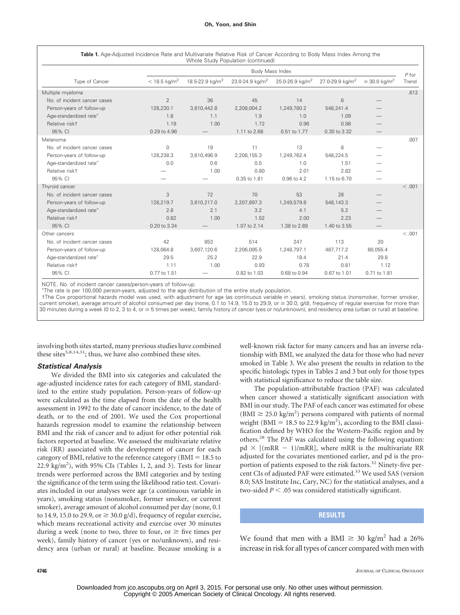| Table 1. Age-Adjusted Incidence Rate and Multivariate Relative Risk of Cancer According to Body Mass Index Among the |  |                                    |  |  |  |  |  |
|----------------------------------------------------------------------------------------------------------------------|--|------------------------------------|--|--|--|--|--|
|                                                                                                                      |  | Whole Study Population (continued) |  |  |  |  |  |

|                              |                            |                             | Whole Study Population (continued) |                             |                             |                               |         |
|------------------------------|----------------------------|-----------------------------|------------------------------------|-----------------------------|-----------------------------|-------------------------------|---------|
|                              |                            |                             |                                    | Body Mass Index             |                             |                               | $P$ for |
| Type of Cancer               | $<$ 18.5 kg/m <sup>2</sup> | 18.5-22.9 kg/m <sup>2</sup> | 23.0-24.9 kg/m <sup>2</sup>        | 25.0-26.9 kg/m <sup>2</sup> | 27.0-29.9 kg/m <sup>2</sup> | $\geq$ 30.0 kg/m <sup>2</sup> | Trend   |
| Multiple myeloma             |                            |                             |                                    |                             |                             |                               | .612    |
| No. of incident cancer cases | $\overline{2}$             | 36                          | 45                                 | 14                          | 6                           |                               |         |
| Person-years of follow-up    | 128,230.1                  | 3,610,442.8                 | 2,208,004.2                        | 1,249,780.2                 | 548,241.4                   |                               |         |
| Age-standardized rate*       | 1.8                        | 1.1                         | 1.9                                | 1.0                         | 1.09                        |                               |         |
| Relative riskt               | 1.19                       | 1.00                        | 1.72                               | 0.96                        | 0.98                        |                               |         |
| 95% CI                       | 0.29 to 4.96               |                             | 1.11 to 2.68                       | 0.51 to 1.77                | 0.30 to 3.32                |                               |         |
| Melanoma                     |                            |                             |                                    |                             |                             |                               | .007    |
| No. of incident cancer cases | 0                          | 19                          | 11                                 | 13                          | 8                           |                               |         |
| Person-years of follow-up    | 128,238.3                  | 3,610,496.9                 | 2,208,155.3                        | 1,249,762.4                 | 548,224.5                   |                               |         |
| Age-standardized rate*       | 0.0                        | 0.6                         | 0.5                                | 1.0                         | 1.51                        |                               |         |
| Relative risk <sup>+</sup>   |                            | 1.00                        | 0.80                               | 2.01                        | 2.82                        |                               |         |
| 95% CI                       |                            |                             | 0.35 to 1.81                       | 0.96 to 4.2                 | 1.15 to 6.70                |                               |         |
| Thyroid cancer               |                            |                             |                                    |                             |                             |                               | < .001  |
| No. of incident cancer cases | 3                          | 72                          | 70                                 | 53                          | 28                          |                               |         |
| Person-years of follow-up    | 128,219.7                  | 3,610,217.0                 | 2,207,897.3                        | 1,249,579.8                 | 548,143.3                   |                               |         |
| Age-standardized rate*       | 2.8                        | 2.1                         | 3.2                                | 4.1                         | 5.2                         |                               |         |
| Relative risk <sup>+</sup>   | 0.82                       | 1.00                        | 1.52                               | 2.00                        | 2.23                        |                               |         |
| 95% CI                       | 0.20 to 3.34               |                             | 1.07 to 2.14                       | 1.38 to 2.89                | 1.40 to 3.55                |                               |         |
| Other cancers                |                            |                             |                                    |                             |                             |                               | < .001  |
| No. of incident cancer cases | 42                         | 853                         | 514                                | 247                         | 113                         | 20                            |         |
| Person-years of follow-up    | 128,064.8                  | 3,607,120.6                 | 2,206,095.5                        | 1,248,797.1                 | 487,717.2                   | 60,055.4                      |         |
| Age-standardized rate*       | 29.5                       | 25.2                        | 22.9                               | 18.4                        | 21.4                        | 29.8                          |         |
| Relative riskt               | 1.11                       | 1.00                        | 0.93                               | 0.78                        | 0.81                        | 1.12                          |         |
| 95% CI                       | 0.77 to 1.51               |                             | 0.82 to 1.03                       | 0.68 to 0.94                | 0.67 to 1.01                | 0.71 to 1.81                  |         |

NOTE. No. of incident cancer cases/person-years of follow-up.

The rate is per 100,000 person-years, adjusted to the age distribution of the entire study population.

†The Cox proportional hazards model was used, with adjustment for age (as continuous variable in years), smoking status (nonsmoker, former smoker, current smoker), average amount of alcohol consumed per day (none, 0.1 to 14.9, 15.0 to 29.9, or  $\geq$  30.0, g/d), frequency of regular exercise for more than 30 minutes during a week (0 to 2, 3 to 4, or  $\geq 5$  times per week), family history of cancer (yes or no/unknown), and residency area (urban or rural) at baseline.

involving both sites started, many previous studies have combined these sites<sup>5,8,14,31</sup>; thus, we have also combined these sites.

#### *Statistical Analysis*

We divided the BMI into six categories and calculated the age-adjusted incidence rates for each category of BMI, standardized to the entire study population. Person-years of follow-up were calculated as the time elapsed from the date of the health assessment in 1992 to the date of cancer incidence, to the date of death, or to the end of 2001. We used the Cox proportional hazards regression model to examine the relationship between BMI and the risk of cancer and to adjust for other potential risk factors reported at baseline. We assessed the multivariate relative risk (RR) associated with the development of cancer for each category of BMI, relative to the reference category ( $BMI = 18.5$  to  $22.9 \text{ kg/m}^2$ ), with 95% CIs (Tables 1, 2, and 3). Tests for linear trends were performed across the BMI categories and by testing the significance of the term using the likelihood ratio test. Covariates included in our analyses were age (a continuous variable in years), smoking status (nonsmoker, former smoker, or current smoker), average amount of alcohol consumed per day (none, 0.1 to 14.9, 15.0 to 29.9, or  $\geq$  30.0 g/d), frequency of regular exercise, which means recreational activity and exercise over 30 minutes during a week (none to two, three to four, or  $\geq$  five times per week), family history of cancer (yes or no/unknown), and residency area (urban or rural) at baseline. Because smoking is a

well-known risk factor for many cancers and has an inverse relationship with BMI, we analyzed the data for those who had never smoked in Table 3. We also present the results in relation to the specific histologic types in Tables 2 and 3 but only for those types with statistical significance to reduce the table size.

The population-attributable fraction (PAF) was calculated when cancer showed a statistically significant association with BMI in our study. The PAF of each cancer was estimated for obese  $(BMI \ge 25.0 \text{ kg/m}^2)$  persons compared with patients of normal weight (BMI = 18.5 to 22.9 kg/m<sup>2</sup>), according to the BMI classification defined by WHO for the Western-Pacific region and by others.28 The PAF was calculated using the following equation: pd  $\times$  [(mRR - 1)/mRR], where mRR is the multivariate RR adjusted for the covariates mentioned earlier, and pd is the proportion of patients exposed to the risk factors.<sup>32</sup> Ninety-five percent CIs of adjusted PAF were estimated.<sup>33</sup> We used SAS (version 8.0; SAS Institute Inc, Cary, NC) for the statistical analyses, and a two-sided  $P < 0.05$  was considered statistically significant.

# **RESULTS**

We found that men with a BMI  $\geq$  30 kg/m<sup>2</sup> had a 26% increase in risk for all types of cancer compared with men with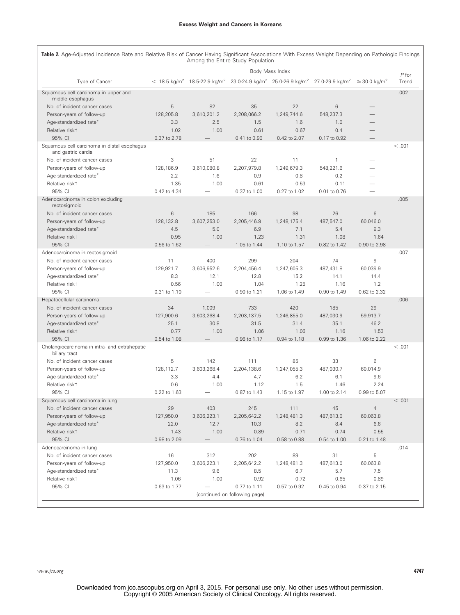|                                                                   |              |             |                               | Body Mass Index |                                                                                                                                            |                               |                  |
|-------------------------------------------------------------------|--------------|-------------|-------------------------------|-----------------|--------------------------------------------------------------------------------------------------------------------------------------------|-------------------------------|------------------|
| Type of Cancer                                                    |              |             |                               |                 | $<$ 18.5 kg/m <sup>2</sup> 18.5-22.9 kg/m <sup>2</sup> 23.0-24.9 kg/m <sup>2</sup> 25.0-26.9 kg/m <sup>2</sup> 27.0-29.9 kg/m <sup>2</sup> | $\geq$ 30.0 kg/m <sup>2</sup> | $P$ for<br>Trend |
| Squamous cell carcinoma in upper and                              |              |             |                               |                 |                                                                                                                                            |                               | .002             |
| middle esophagus                                                  |              |             |                               |                 |                                                                                                                                            |                               |                  |
| No. of incident cancer cases                                      | 5            | 82          | 35                            | 22              | 6                                                                                                                                          |                               |                  |
| Person-years of follow-up                                         | 128,205.8    | 3,610,201.2 | 2,208,066.2                   | 1,249,744.6     | 548,237.3                                                                                                                                  |                               |                  |
| Age-standardized rate <sup>®</sup>                                | 3.3          | 2.5         | 1.5                           | 1.6             | 1.0                                                                                                                                        |                               |                  |
| Relative riskt                                                    | 1.02         | 1.00        | 0.61                          | 0.67            | 0.4                                                                                                                                        |                               |                  |
| 95% CI                                                            | 0.37 to 2.78 |             | 0.41 to 0.90                  | 0.42 to 2.07    | 0.17 to 0.92                                                                                                                               |                               |                  |
| Squamous cell carcinoma in distal esophagus<br>and gastric cardia |              |             |                               |                 |                                                                                                                                            |                               | < .001           |
| No. of incident cancer cases                                      | 3            | 51          | 22                            | 11              | 1                                                                                                                                          |                               |                  |
| Person-years of follow-up                                         | 128,186.9    | 3,610,080.8 | 2,207,979.8                   | 1,249,679.3     | 548,221.6                                                                                                                                  |                               |                  |
| Age-standardized rate*                                            | 2.2          | 1.6         | 0.9                           | 0.8             | 0.2                                                                                                                                        |                               |                  |
| Relative riskt                                                    | 1.35         | 1.00        | 0.61                          | 0.53            | 0.11                                                                                                                                       |                               |                  |
| 95% CI                                                            | 0.42 to 4.34 |             | 0.37 to 1.00                  | 0.27 to 1.02    | 0.01 to 0.76                                                                                                                               |                               |                  |
| Adenocarcinoma in colon excluding<br>rectosigmoid                 |              |             |                               |                 |                                                                                                                                            |                               | .005             |
| No. of incident cancer cases                                      | 6            | 185         | 166                           | 98              | 26                                                                                                                                         | 6                             |                  |
| Person-years of follow-up                                         | 128,132.8    | 3,607,253.0 | 2,205,446.9                   | 1,248,175.4     | 487,547.0                                                                                                                                  | 60.046.0                      |                  |
| Age-standardized rate*                                            | 4.5          | 5.0         | 6.9                           | 7.1             | 5.4                                                                                                                                        | 9.3                           |                  |
| Relative riskt                                                    | 0.95         | 1.00        | 1.23                          | 1.31            | 1.08                                                                                                                                       | 1.64                          |                  |
| 95% CI                                                            | 0.56 to 1.62 |             | 1.05 to 1.44                  | 1.10 to 1.57    | 0.82 to 1.42                                                                                                                               | 0.90 to 2.98                  |                  |
| Adenocarcinoma in rectosigmoid                                    |              |             |                               |                 |                                                                                                                                            |                               | .007             |
| No. of incident cancer cases                                      | 11           | 400         | 299                           | 204             | 74                                                                                                                                         | $\mathsf 9$                   |                  |
| Person-years of follow-up                                         | 129,921.7    | 3.606.952.6 | 2,204,456.4                   | 1,247,605.3     | 487.431.8                                                                                                                                  | 60,039.9                      |                  |
| Age-standardized rate*                                            | 8.3          | 12.1        | 12.8                          | 15.2            | 14.1                                                                                                                                       | 14.4                          |                  |
| Relative risk <sup>+</sup>                                        | 0.56         |             | 1.04                          | 1.25            | 1.16                                                                                                                                       | 1.2                           |                  |
|                                                                   |              | 1.00        |                               |                 |                                                                                                                                            |                               |                  |
| 95% CI                                                            | 0.31 to 1.10 |             | 0.90 to 1.21                  | 1.06 to 1.49    | 0.90 to 1.49                                                                                                                               | 0.62 to 2.32                  | .006             |
| Hepatocellular carcinoma                                          |              |             |                               |                 |                                                                                                                                            |                               |                  |
| No. of incident cancer cases                                      | 34           | 1,009       | 733                           | 420             | 185                                                                                                                                        | 29                            |                  |
| Person-years of follow-up                                         | 127,900.6    | 3,603,268.4 | 2,203,137.5                   | 1,246,855.0     | 487,030.9                                                                                                                                  | 59,913.7                      |                  |
| Age-standardized rate*                                            | 25.1         | 30.8        | 31.5                          | 31.4            | 35.1                                                                                                                                       | 46.2                          |                  |
| Relative riskt                                                    | 0.77         | 1.00        | 1.06                          | 1.06            | 1.16                                                                                                                                       | 1.53                          |                  |
| 95% CI                                                            | 0.54 to 1.08 |             | 0.96 to 1.17                  | 0.94 to 1.18    | 0.99 to 1.36                                                                                                                               | 1.06 to 2.22                  |                  |
| Cholangiocarcinoma in intra- and extrahepatic<br>biliary tract    |              |             |                               |                 |                                                                                                                                            |                               | < .001           |
| No. of incident cancer cases                                      | 5            | 142         | 111                           | 85              | 33                                                                                                                                         | 6                             |                  |
| Person-years of follow-up                                         | 128,112.7    | 3,603,268.4 | 2,204,138.6                   | 1,247,055.3     | 487,030.7                                                                                                                                  | 60,014.9                      |                  |
| Age-standardized rate*                                            | 3.3          | 4.4         | 4.7                           | 6.2             | 6.1                                                                                                                                        | 9.6                           |                  |
| Relative riskt                                                    | 0.6          | 1.00        | 1.12                          | 1.5             | 1.46                                                                                                                                       | 2.24                          |                  |
| 95% CI                                                            | 0.22 to 1.63 |             | 0.87 to 1.43                  | 1.15 to 1.97    | 1.00 to 2.14                                                                                                                               | 0.99 to 5.07                  |                  |
| Squamous cell carcinoma in lung                                   |              |             |                               |                 |                                                                                                                                            |                               | < .001           |
| No. of incident cancer cases                                      | 29           | 403         | 245                           | 111             | 45                                                                                                                                         | $\overline{4}$                |                  |
| Person-years of follow-up                                         | 127,950.0    | 3,606,223.1 | 2,205,642.2                   | 1,248,481.3     | 487,613.0                                                                                                                                  | 60,063.8                      |                  |
| Age-standardized rate*                                            | 22.0         | 12.7        | 10.3                          | 8.2             | 8.4                                                                                                                                        | 6.6                           |                  |
| Relative riskt                                                    | 1.43         | 1.00        | 0.89                          | 0.71            | 0.74                                                                                                                                       | 0.55                          |                  |
| 95% CI                                                            | 0.98 to 2.09 |             | 0.76 to 1.04                  | 0.58 to 0.88    | 0.54 to 1.00                                                                                                                               | 0.21 to 1.48                  |                  |
| Adenocarcinoma in lung                                            |              |             |                               |                 |                                                                                                                                            |                               | .014             |
| No. of incident cancer cases                                      | 16           | 312         | 202                           | 89              | 31                                                                                                                                         | 5                             |                  |
| Person-years of follow-up                                         | 127,950.0    | 3,606,223.1 | 2,205,642.2                   | 1,248,481.3     | 487,613.0                                                                                                                                  | 60,063.8                      |                  |
| Age-standardized rate*                                            | 11.3         | 9.6         | 8.5                           | 6.7             | 5.7                                                                                                                                        | 7.5                           |                  |
| Relative riskt                                                    | 1.06         | 1.00        | 0.92                          | 0.72            | 0.65                                                                                                                                       | 0.89                          |                  |
| 95% CI                                                            | 0.63 to 1.77 |             | 0.77 to 1.11                  | 0.57 to 0.92    | 0.45 to 0.94                                                                                                                               | 0.37 to 2.15                  |                  |
|                                                                   |              |             | (continued on following page) |                 |                                                                                                                                            |                               |                  |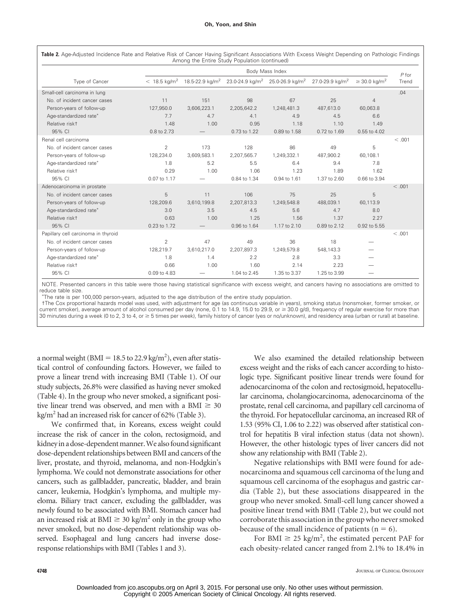| Table 2. Age-Adjusted Incidence Rate and Relative Risk of Cancer Having Significant Associations With Excess Weight Depending on Pathologic Findings |  |                                               |  |  |  |
|------------------------------------------------------------------------------------------------------------------------------------------------------|--|-----------------------------------------------|--|--|--|
|                                                                                                                                                      |  | Among the Entire Study Population (continued) |  |  |  |

|                                     |                            |                             |              | Body Mass Index                                         |                             |                               | $P$ for |
|-------------------------------------|----------------------------|-----------------------------|--------------|---------------------------------------------------------|-----------------------------|-------------------------------|---------|
| Type of Cancer                      | $< 18.5$ kg/m <sup>2</sup> | 18.5-22.9 kg/m <sup>2</sup> |              | 23.0-24.9 kg/m <sup>2</sup> 25.0-26.9 kg/m <sup>2</sup> | 27.0-29.9 kg/m <sup>2</sup> | $\geq$ 30.0 kg/m <sup>2</sup> | Trend   |
| Small-cell carcinoma in lung        |                            |                             |              |                                                         |                             |                               | .04     |
| No. of incident cancer cases        | 11                         | 151                         | 98           | 67                                                      | 25                          | $\overline{4}$                |         |
| Person-years of follow-up           | 127,950.0                  | 3,606,223.1                 | 2,205,642.2  | 1,248,481.3                                             | 487,613.0                   | 60,063.8                      |         |
| Age-standardized rate*              | 7.7                        | 4.7                         | 4.1          | 4.9                                                     | 4.5                         | 6.6                           |         |
| Relative riskt                      | 1.48                       | 1.00                        | 0.95         | 1.18                                                    | 1.10                        | 1.49                          |         |
| 95% CI                              | 0.8 to 2.73                |                             | 0.73 to 1.22 | 0.89 to 1.58                                            | 0.72 to 1.69                | 0.55 to 4.02                  |         |
| Renal cell carcinoma                |                            |                             |              |                                                         |                             |                               | < 0.001 |
| No. of incident cancer cases        | 2                          | 173                         | 128          | 86                                                      | 49                          | 5                             |         |
| Person-years of follow-up           | 128,234.0                  | 3,609,583.1                 | 2,207,565.7  | 1,249,332.1                                             | 487,900.2                   | 60,108.1                      |         |
| Age-standardized rate*              | 1.8                        | 5.2                         | 5.5          | 6.4                                                     | 9.4                         | 7.8                           |         |
| Relative risk <sup>+</sup>          | 0.29                       | 1.00                        | 1.06         | 1.23                                                    | 1.89                        | 1.62                          |         |
| 95% CI                              | 0.07 to 1.17               |                             | 0.84 to 1.34 | 0.94 to 1.61                                            | 1.37 to 2.60                | 0.66 to 3.94                  |         |
| Adenocarcinoma in prostate          |                            |                             |              |                                                         |                             |                               | < 0.001 |
| No. of incident cancer cases        | 5                          | 11                          | 106          | 75                                                      | 25                          | 5                             |         |
| Person-years of follow-up           | 128,209.6                  | 3,610,199.8                 | 2,207,813.3  | 1,249,548.8                                             | 488,039.1                   | 60,113.9                      |         |
| Age-standardized rate*              | 3.0                        | 3.5                         | 4.5          | 5.6                                                     | 4.7                         | 8.0                           |         |
| Relative riskt                      | 0.63                       | 1.00                        | 1.25         | 1.56                                                    | 1.37                        | 2.27                          |         |
| 95% CI                              | 0.23 to 1.72               |                             | 0.96 to 1.64 | 1.17 to 2.10                                            | 0.89 to 2.12                | 0.92 to 5.55                  |         |
| Papillary cell carcinoma in thyroid |                            |                             |              |                                                         |                             |                               | < 0.001 |
| No. of incident cancer cases        | $\mathfrak{D}$             | 47                          | 49           | 36                                                      | 18                          |                               |         |
| Person-years of follow-up           | 128,219.7                  | 3,610,217.0                 | 2,207,897.3  | 1,249,579.8                                             | 548,143.3                   |                               |         |
| Age-standardized rate*              | 1.8                        | 1.4                         | 2.2          | 2.8                                                     | 3.3                         |                               |         |
| Relative riskt                      | 0.66                       | 1.00                        | 1.60         | 2.14                                                    | 2.23                        |                               |         |
| 95% CI                              | 0.09 to 4.83               |                             | 1.04 to 2.45 | 1.35 to 3.37                                            | 1.25 to 3.99                |                               |         |

NOTE. Presented cancers in this table were those having statistical significance with excess weight, and cancers having no associations are omitted to reduce table size.

The rate is per 100,000 person-years, adjusted to the age distribution of the entire study population.

†The Cox proportional hazards model was used, with adjustment for age (as continuous variable in years), smoking status (nonsmoker, former smoker, or current smoker), average amount of alcohol consumed per day (none, 0.1 to 14.9, 15.0 to 29.9, or  $\geq$  30.0 g/d), frequency of regular exercise for more than 30 minutes during a week (0 to 2, 3 to 4, or ≥ 5 times per week), family history of cancer (yes or no/unknown), and residency area (urban or rural) at baseline.

a normal weight ( $\text{BMI} = 18.5$  to 22.9 kg/m<sup>2</sup>), even after statistical control of confounding factors. However, we failed to prove a linear trend with increasing BMI (Table 1). Of our study subjects, 26.8% were classified as having never smoked (Table 4). In the group who never smoked, a significant positive linear trend was observed, and men with a BMI  $\geq 30$ kg/m2 had an increased risk for cancer of 62% (Table 3).

We confirmed that, in Koreans, excess weight could increase the risk of cancer in the colon, rectosigmoid, and kidney in a dose-dependent manner. We also found significant dose-dependent relationships between BMI and cancers of the liver, prostate, and thyroid, melanoma, and non-Hodgkin's lymphoma. We could not demonstrate associations for other cancers, such as gallbladder, pancreatic, bladder, and brain cancer, leukemia, Hodgkin's lymphoma, and multiple myeloma. Biliary tract cancer, excluding the gallbladder, was newly found to be associated with BMI. Stomach cancer had an increased risk at BMI  $\geq$  30 kg/m<sup>2</sup> only in the group who never smoked, but no dose-dependent relationship was observed. Esophageal and lung cancers had inverse doseresponse relationships with BMI (Tables 1 and 3).

We also examined the detailed relationship between excess weight and the risks of each cancer according to histologic type. Significant positive linear trends were found for adenocarcinoma of the colon and rectosigmoid, hepatocellular carcinoma, cholangiocarcinoma, adenocarcinoma of the prostate, renal cell carcinoma, and papillary cell carcinoma of the thyroid. For hepatocellular carcinoma, an increased RR of 1.53 (95% CI, 1.06 to 2.22) was observed after statistical control for hepatitis B viral infection status (data not shown). However, the other histologic types of liver cancers did not show any relationship with BMI (Table 2).

Negative relationships with BMI were found for adenocarcinoma and squamous cell carcinoma of the lung and squamous cell carcinoma of the esophagus and gastric cardia (Table 2), but these associations disappeared in the group who never smoked. Small-cell lung cancer showed a positive linear trend with BMI (Table 2), but we could not corroborate this association in the group who never smoked because of the small incidence of patients  $(n = 6)$ .

For BMI  $\geq$  25 kg/m<sup>2</sup>, the estimated percent PAF for each obesity-related cancer ranged from 2.1% to 18.4% in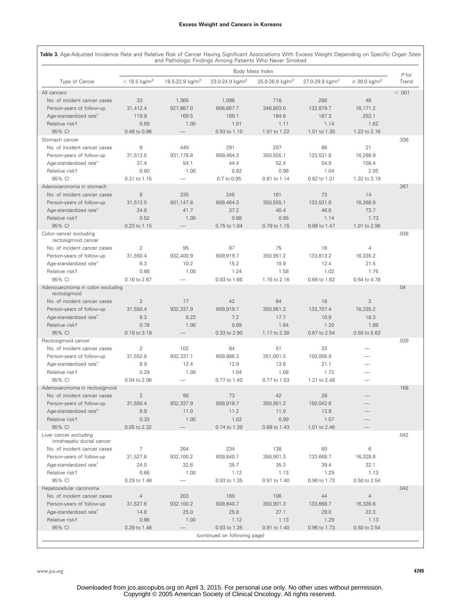| Table 3. Age-Adjusted Incidence Rate and Relative Risk of Cancer Having Significant Associations With Excess Weight Depending on Specific Organ Sites |  |                                                         |  |  |  |
|-------------------------------------------------------------------------------------------------------------------------------------------------------|--|---------------------------------------------------------|--|--|--|
|                                                                                                                                                       |  | and Pathologic Findings Among Patients Who Never Smoked |  |  |  |

|                                                          |                            |                             |                               | Body Mass Index             |                             |                               | $P$ for |
|----------------------------------------------------------|----------------------------|-----------------------------|-------------------------------|-----------------------------|-----------------------------|-------------------------------|---------|
| Type of Cancer                                           | $<$ 18.5 kg/m <sup>2</sup> | 18.5-22.9 kg/m <sup>2</sup> | 23.0-24.9 kg/m <sup>2</sup>   | 25.0-26.9 kg/m <sup>2</sup> | 27.0-29.9 kg/m <sup>2</sup> | $\geq$ 30.0 kg/m <sup>2</sup> | Trend   |
| All cancers                                              |                            |                             |                               |                             |                             |                               | < .001  |
| No. of incident cancer cases                             | 33                         | 1,365                       | 1,096                         | 718                         | 286                         | 46                            |         |
| Person-years of follow-up                                | 31,412.4                   | 927,867.0                   | 606,667.7                     | 348,803.0                   | 132,879.7                   | 16,171.2                      |         |
| Age-standardized rate*                                   | 119.9                      | 169.5                       | 169.1                         | 184.6                       | 187.3                       | 253.1                         |         |
| Relative risk <sup>+</sup>                               | 0.69                       | 1.00                        | 1.01                          | 1.11                        | 1.14                        | 1.62                          |         |
| 95% CI                                                   | 0.48 to 0.96               |                             | 0.93 to 1.10                  | 1.01 to 1.22                | 1.01 to 1.30                | 1.22 to 2.16                  |         |
| Stomach cancer                                           |                            |                             |                               |                             |                             |                               | .336    |
| No. of incident cancer cases                             | 9                          | 440<br>931.178.8            | 291<br>609,464.3              | 207                         | 86<br>133,531.8             | 21<br>16,268.9                |         |
| Person-years of follow-up<br>Age-standardized rate*      | 31,513.5<br>37.4           | 54.1                        | 44.4                          | 350,555.1<br>52.4           | 54.9                        | 108.4                         |         |
| Relative riskt                                           | 0.60                       | 1.00                        | 0.82                          | 0.96                        | 1.04                        | 2.05                          |         |
| 95% CI                                                   | 0.31 to 1.15               |                             | 0.7 to 0.95                   | 0.81 to 1.14                | 0.82 to 1.31                | 1.32 to 3.19                  |         |
| Adenocarcinoma in stomach                                |                            |                             |                               |                             |                             |                               | .267    |
| No. of incident cancer cases                             | 6                          | 335                         | 245                           | 161                         | 73                          | 14                            |         |
| Person-years of follow-up                                | 31,513.5                   | 931,147.8                   | 609,464.3                     | 350,555.1                   | 133,531.8                   | 16,268.9                      |         |
| Age-standardized rate*                                   | 24.8                       | 41.7                        | 37.2                          | 40.4                        | 46.6                        | 73.7                          |         |
| Relative riskt                                           | 0.52                       | 1.00                        | 0.88                          | 0.95                        | 1.14                        | 1.73                          |         |
| 95% CI                                                   | 0.23 to 1.15               |                             | 0.75 to 1.04                  | 0.79 to 1.15                | 0.88 to 1.47                | 1.01 to 2.96                  |         |
| Colon cancer excluding<br>rectosigmoid cancer            |                            |                             |                               |                             |                             |                               | .038    |
| No. of incident cancer cases                             | $\overline{2}$             | 95                          | 97                            | 75                          | 18                          | 4                             |         |
| Person-years of follow-up                                | 31,550.4                   | 932,400.9                   | 609.919.7                     | 350.951.2                   | 133.813.2                   | 16,335.2                      |         |
| Age-standardized rate*                                   | 6.3                        | 10.2                        | 15.2                          | 19.9                        | 12.4                        | 21.5                          |         |
| Relative riskt                                           | 0.66                       | 1.00                        | 1.24                          | 1.58                        | 1.02                        | 1.75                          |         |
| 95% CI                                                   | 0.16 to 2.67               |                             | 0.93 to 1.66                  | 1.16 to 2.16                | 0.66 to 1.62                | 0.64 to 4.78                  |         |
| Adenocarcinoma in colon excluding<br>rectosigmoid        |                            |                             |                               |                             |                             |                               | .04     |
| No. of incident cancer cases                             | $\overline{2}$             | 77                          | 42                            | 64                          | 16                          | 3                             |         |
| Person-years of follow-up                                | 31,550.4                   | 932,337.9                   | 609,919.7                     | 350,951.2                   | 133,707.4                   | 16,335.2                      |         |
| Age-standardized rate*                                   | 6.3                        | 8.23                        | 7.2                           | 17.7                        | 10.9                        | 18.3                          |         |
| Relative riskt                                           | 0.78                       | 1.00                        | 0.89                          | 1.64                        | 1.20                        | 1.89                          |         |
| 95% CI                                                   | 0.19 to 3.19               |                             | 0.33 to 2.90                  | 1.17 to 2.30                | 0.67 to 2.54                | 0.55 to 5.63                  |         |
| Rectosigmoid cancer                                      |                            |                             |                               |                             |                             |                               | .039    |
| No. of incident cancer cases                             | 2                          | 102                         | 84                            | 51                          | 33                          |                               |         |
| Person-years of follow-up<br>Age-standardized rate*      | 31,552.8<br>6.9            | 932,337.1<br>12.4           | 609,988.3<br>12.9             | 351,001.5<br>13.6           | 150,056.9<br>21.1           |                               |         |
| Relative riskt                                           | 0.29                       | 1.00                        | 1.04                          | 1.08                        | 1.72                        |                               |         |
| 95% CI                                                   | 0.04 to 2.06               |                             | 0.77 to 1.40                  | 0.77 to 1.53                | 1.21 to 2.48                |                               |         |
| Adenocarcinoma in rectosigmoid                           |                            |                             |                               |                             |                             |                               | .168    |
| No. of incident cancer cases                             | $\overline{2}$             | 90                          | 73                            | 42                          | 28                          |                               |         |
| Person-years of follow-up                                | 31,550.4                   | 932,337.9                   | 609,919.7                     | 350,951.2                   | 150,042.6                   |                               |         |
| Age-standardized rate*                                   | 6.9                        | 11.0                        | 11.2                          | 11.0                        | 13.9                        |                               |         |
| Relative riskt                                           | 0.33                       | 1.00                        | 1.02                          | 0.99                        | 1.57                        |                               |         |
| 95% CI                                                   | 0.05 to 2.32               |                             | 0.74 to 1.39                  | 0.68 to 1.43                | 1.01 to 2.46                |                               |         |
| Liver cancer excluding<br>intrahepatic ductal cancer     |                            |                             |                               |                             |                             |                               | .042    |
| No. of incident cancer cases                             | 7                          | 264                         | 234                           | 138                         | 60                          | 6                             |         |
| Person-years of follow-up                                | 31,527.6                   | 932,100.2                   | 609,840.7                     | 350,901.3                   | 133,668.7                   | 16,328.6                      |         |
| Age-standardized rate*                                   | 24.0                       | 32.6                        | 35.7                          | 35.3                        | 39.4                        | 32.1                          |         |
| Relative riskt                                           | 0.66                       | 1.00                        | 1.12                          | 1.13                        | 1.29                        | 1.13                          |         |
| 95% CI                                                   | 0.29 to 1.48               |                             | 0.93 to 1.35                  | 0.91 to 1.40                | 0.96 to 1.73                | 0.50 to 2.54                  |         |
| Hepatocellular carcinoma<br>No. of incident cancer cases |                            |                             |                               |                             |                             |                               | .042    |
| Person-years of follow-up                                | 4<br>31,527.6              | 203<br>932,100.2            | 169<br>609,840.7              | 106<br>350,901.3            | 44<br>133,668.7             | $\overline{4}$<br>16,328.6    |         |
| Age-standardized rate*                                   | 14.8                       | 25.0                        | 25.8                          | 27.1                        | 29.0                        | 22.3                          |         |
| Relative riskt                                           | 0.66                       | 1.00                        | 1.12                          | 1.13                        | 1.29                        | 1.13                          |         |
| 95% CI                                                   | 0.29 to 1.48               |                             | 0.93 to 1.35                  | 0.91 to 1.40                | 0.96 to 1.73                | 0.50 to 2.54                  |         |
|                                                          |                            |                             | (continued on following page) |                             |                             |                               |         |
|                                                          |                            |                             |                               |                             |                             |                               |         |

*www.jco.org* **4749**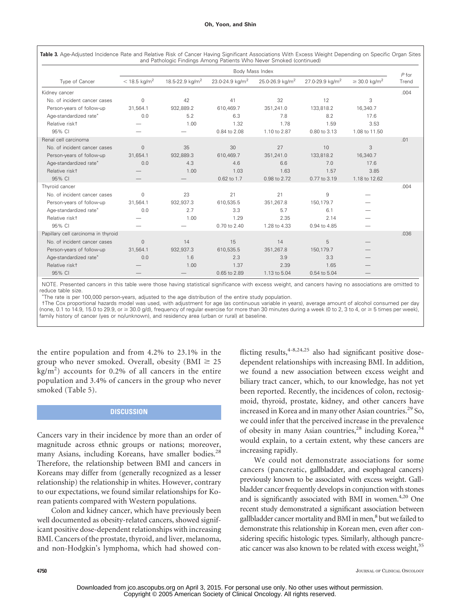|                                     | Body Mass Index            |                             |                             |                             |                             |                               |                  |  |  |
|-------------------------------------|----------------------------|-----------------------------|-----------------------------|-----------------------------|-----------------------------|-------------------------------|------------------|--|--|
| Type of Cancer                      | $<$ 18.5 kg/m <sup>2</sup> | 18.5-22.9 kg/m <sup>2</sup> | 23.0-24.9 kg/m <sup>2</sup> | 25.0-26.9 kg/m <sup>2</sup> | 27.0-29.9 kg/m <sup>2</sup> | $\geq$ 30.0 kg/m <sup>2</sup> | $P$ for<br>Trend |  |  |
| Kidney cancer                       |                            |                             |                             |                             |                             |                               | .004             |  |  |
| No. of incident cancer cases        | $\mathbf 0$                | 42                          | 41                          | 32                          | 12                          | 3                             |                  |  |  |
| Person-years of follow-up           | 31,564.1                   | 932,889.2                   | 610,469.7                   | 351,241.0                   | 133,818.2                   | 16,340.7                      |                  |  |  |
| Age-standardized rate*              | 0.0                        | 5.2                         | 6.3                         | 7.8                         | 8.2                         | 17.6                          |                  |  |  |
| Relative riskt                      |                            | 1.00                        | 1.32                        | 1.78                        | 1.59                        | 3.53                          |                  |  |  |
| 95% CI                              |                            |                             | 0.84 to 2.08                | 1.10 to 2.87                | 0.80 to 3.13                | 1.08 to 11.50                 |                  |  |  |
| Renal cell carcinoma                |                            |                             |                             |                             |                             |                               | .01              |  |  |
| No. of incident cancer cases        | $\mathbf{0}$               | 35                          | 30                          | 27                          | 10                          | 3                             |                  |  |  |
| Person-years of follow-up           | 31,654.1                   | 932,889.3                   | 610,469.7                   | 351,241.0                   | 133,818.2                   | 16,340.7                      |                  |  |  |
| Age-standardized rate*              | 0.0                        | 4.3                         | 4.6                         | 6.6                         | 7.0                         | 17.6                          |                  |  |  |
| Relative riskt                      |                            | 1.00                        | 1.03                        | 1.63                        | 1.57                        | 3.85                          |                  |  |  |
| 95% CI                              |                            |                             | 0.62 to 1.7                 | 0.98 to 2.72                | 0.77 to 3.19                | 1.18 to 12.62                 |                  |  |  |
| Thyroid cancer                      |                            |                             |                             |                             |                             |                               | .004             |  |  |
| No. of incident cancer cases        | 0                          | 23                          | 21                          | 21                          | 9                           |                               |                  |  |  |
| Person-years of follow-up           | 31,564.1                   | 932,937.3                   | 610,535.5                   | 351,267.8                   | 150,179.7                   |                               |                  |  |  |
| Age-standardized rate*              | 0.0                        | 2.7                         | 3.3                         | 5.7                         | 6.1                         |                               |                  |  |  |
| Relative riskt                      |                            | 1.00                        | 1.29                        | 2.35                        | 2.14                        |                               |                  |  |  |
| 95% CI                              |                            |                             | 0.70 to 2.40                | 1.28 to 4.33                | 0.94 to 4.85                |                               |                  |  |  |
| Papillary cell carcinoma in thyroid |                            |                             |                             |                             |                             |                               | .036             |  |  |
| No. of incident cancer cases        | $\mathsf{O}\xspace$        | 14                          | 15                          | 14                          | 5                           |                               |                  |  |  |
| Person-years of follow-up           | 31,564.1                   | 932,937.3                   | 610,535.5                   | 351,267.8                   | 150,179.7                   |                               |                  |  |  |
| Age-standardized rate*              | 0.0                        | 1.6                         | 2.3                         | 3.9                         | 3.3                         |                               |                  |  |  |
| Relative risk <sup>+</sup>          |                            | 1.00                        | 1.37                        | 2.39                        | 1.65                        |                               |                  |  |  |
| 95% CI                              |                            |                             | 0.65 to 2.89                | 1.13 to 5.04                | 0.54 to 5.04                |                               |                  |  |  |

NOTE. Presented cancers in this table were those having statistical significance with excess weight, and cancers having no associations are omitted to reduce table size.

The rate is per 100,000 person-years, adjusted to the age distribution of the entire study population.

†The Cox proportional hazards model was used, with adjustment for age (as continuous variable in years), average amount of alcohol consumed per day (none, 0.1 to 14.9, 15.0 to 29.9, or  $\geq$  30.0 g/d), frequency of regular exercise for more than 30 minutes during a week (0 to 2, 3 to 4, or  $\geq$  5 times per week), family history of cancer (yes or no/unknown), and residency area (urban or rural) at baseline.

the entire population and from 4.2% to 23.1% in the group who never smoked. Overall, obesity (BMI  $\geq 25$  $\text{kg/m}^2$ ) accounts for 0.2% of all cancers in the entire population and 3.4% of cancers in the group who never smoked (Table 5).

# **DISCUSSION**

Cancers vary in their incidence by more than an order of magnitude across ethnic groups or nations; moreover, many Asians, including Koreans, have smaller bodies.<sup>28</sup> Therefore, the relationship between BMI and cancers in Koreans may differ from (generally recognized as a lesser relationship) the relationship in whites. However, contrary to our expectations, we found similar relationships for Korean patients compared with Western populations.

Colon and kidney cancer, which have previously been well documented as obesity-related cancers, showed significant positive dose-dependent relationships with increasing BMI. Cancers of the prostate, thyroid, and liver, melanoma, and non-Hodgkin's lymphoma, which had showed con-

flicting results, 4-8,24,25 also had significant positive dosedependent relationships with increasing BMI. In addition, we found a new association between excess weight and biliary tract cancer, which, to our knowledge, has not yet been reported. Recently, the incidences of colon, rectosigmoid, thyroid, prostate, kidney, and other cancers have increased in Korea and in many other Asian countries.<sup>29</sup> So, we could infer that the perceived increase in the prevalence of obesity in many Asian countries,<sup>28</sup> including Korea,<sup>34</sup> would explain, to a certain extent, why these cancers are increasing rapidly.

We could not demonstrate associations for some cancers (pancreatic, gallbladder, and esophageal cancers) previously known to be associated with excess weight. Gallbladder cancer frequently develops in conjunction with stones and is significantly associated with BMI in women.<sup>4,20</sup> One recent study demonstrated a significant association between gallbladder cancer mortality and BMI in men,<sup>8</sup> but we failed to demonstrate this relationship in Korean men, even after considering specific histologic types. Similarly, although pancreatic cancer was also known to be related with excess weight, <sup>35</sup>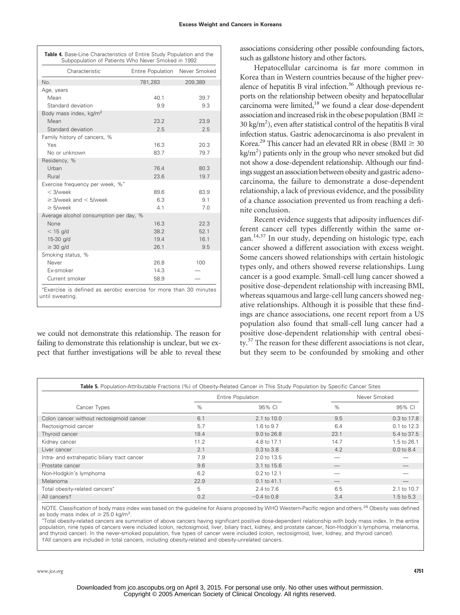| Characteristic                         | <b>Entire Population</b> | Never Smoked |
|----------------------------------------|--------------------------|--------------|
| No.                                    | 781,283                  | 209,389      |
| Age, years                             |                          |              |
| Mean                                   | 40.1                     | 39.7         |
| Standard deviation                     | 9.9                      | 9.3          |
| Body mass index, kg/m <sup>2</sup>     |                          |              |
| Mean                                   | 23.2                     | 23.9         |
| Standard deviation                     | 2.5                      | 2.5          |
| Family history of cancers, %           |                          |              |
| Yes                                    | 16.3                     | 20.3         |
| No or unknown                          | 83.7                     | 79.7         |
| Residency, %                           |                          |              |
| Urban                                  | 76.4                     | 80.3         |
| Rural                                  | 23.6                     | 19.7         |
| Exercise frequency per week, %*        |                          |              |
| $<$ 3/week                             | 89.6                     | 83.9         |
| $\geq$ 3/week and $\lt$ 5/week         | 6.3                      | 9.1          |
| $\geq$ 5/week                          | 4.1                      | 7.0          |
| Average alcohol consumption per day, % |                          |              |
| None                                   | 16.3                     | 22.3         |
| $<$ 15 g/d                             | 38.2                     | 52.1         |
| 15-30 g/d                              | 19.4                     | 16.1         |
| $\geq$ 30 g/d                          | 26.1                     | 9.5          |
| Smoking status, %                      |                          |              |
| Never                                  | 26.8                     | 100          |
| Ex-smoker                              | 14.3                     |              |
| Current smoker                         | 58.9                     |              |

we could not demonstrate this relationship. The reason for failing to demonstrate this relationship is unclear, but we expect that further investigations will be able to reveal these associations considering other possible confounding factors, such as gallstone history and other factors.

Hepatocellular carcinoma is far more common in Korea than in Western countries because of the higher prevalence of hepatitis B viral infection.<sup>36</sup> Although previous reports on the relationship between obesity and hepatocellular carcinoma were limited,<sup>18</sup> we found a clear dose-dependent association and increased risk in the obese population ( $BMI \geq$ 30 kg/m2 ), even after statistical control of the hepatitis B viral infection status. Gastric adenocarcinoma is also prevalent in Korea.<sup>29</sup> This cancer had an elevated RR in obese (BMI  $\geq$  30 kg/m<sup>2</sup>) patients only in the group who never smoked but did not show a dose-dependent relationship. Although our findings suggest an association between obesity and gastric adenocarcinoma, the failure to demonstrate a dose-dependent relationship, a lack of previous evidence, and the possibility of a chance association prevented us from reaching a definite conclusion.

Recent evidence suggests that adiposity influences different cancer cell types differently within the same organ.14,37 In our study, depending on histologic type, each cancer showed a different association with excess weight. Some cancers showed relationships with certain histologic types only, and others showed reverse relationships. Lung cancer is a good example. Small-cell lung cancer showed a positive dose-dependent relationship with increasing BMI, whereas squamous and large-cell lung cancers showed negative relationships. Although it is possible that these findings are chance associations, one recent report from a US population also found that small-cell lung cancer had a positive dose-dependent relationship with central obesity.<sup>37</sup> The reason for these different associations is not clear, but they seem to be confounded by smoking and other

| Table 5. Population-Attributable Fractions (%) of Obesity-Related Cancer in This Study Population by Specific Cancer Sites |      |                        |              |                       |  |
|----------------------------------------------------------------------------------------------------------------------------|------|------------------------|--------------|-----------------------|--|
|                                                                                                                            |      | Entire Population      | Never Smoked |                       |  |
| Cancer Types                                                                                                               | $\%$ | 95% CI                 | $\%$         | 95% CI                |  |
| Colon cancer without rectosigmoid cancer                                                                                   | 6.1  | 2.1 to 10.0            | 9.5          | 0.3 to 17.8           |  |
| Rectosigmoid cancer                                                                                                        | 5.7  | 1.6 to 9.7             | 6.4          | 0.1 to 12.3           |  |
| Thyroid cancer                                                                                                             | 18.4 | $9.0 \text{ to } 26.8$ | 23.1         | 5.4 to 37.5           |  |
| Kidney cancer                                                                                                              | 11.2 | 4.8 to 17.1            | 14.7         | 1.5 to 26.1           |  |
| Liver cancer                                                                                                               | 2.1  | $0.3$ to $3.8$         | 4.2          | $0.0 \text{ to } 8.4$ |  |
| Intra- and extrahepatic biliary tract cancer                                                                               | 7.9  | 2.0 to 13.5            |              |                       |  |
| Prostate cancer                                                                                                            | 9.6  | 3.1 to 15.6            |              |                       |  |
| Non-Hodgkin's lymphoma                                                                                                     | 6.2  | $0.2$ to 12.1          |              |                       |  |
| Melanoma                                                                                                                   | 22.9 | 0.1 to 41.1            | $-$          |                       |  |
| Total obesity-related cancers*                                                                                             | 5    | 2.4 to 7.6             | 6.5          | 2.1 to 10.7           |  |
| All cancerst                                                                                                               | 0.2  | $-0.4$ to 0.8          | 3.4          | 1.5 to 5.3            |  |

NOTE. Classification of body mass index was based on the guideline for Asians proposed by WHO Western-Pacific region and others.<sup>28</sup> Obesity was defined as body mass index of  $\geq 25.0$  kg/m<sup>2</sup>.<br>
\*Total obesity-related cancers are sur-

Total obesity-related cancers are summation of above cancers having significant positive dose-dependent relationship with body mass index. In the entire population, nine types of cancers were included (colon, rectosigmoid, liver, biliary tract, kidney, and prostate cancer, Non-Hodgkin's lymphoma, melanoma, and thyroid cancer). In the never-smoked population, five types of cancer were included (colon, rectosigmoid, liver, kidney, and thyroid cancer). †All cancers are included in total cancers, including obesity-related and obesity-unrelated cancers.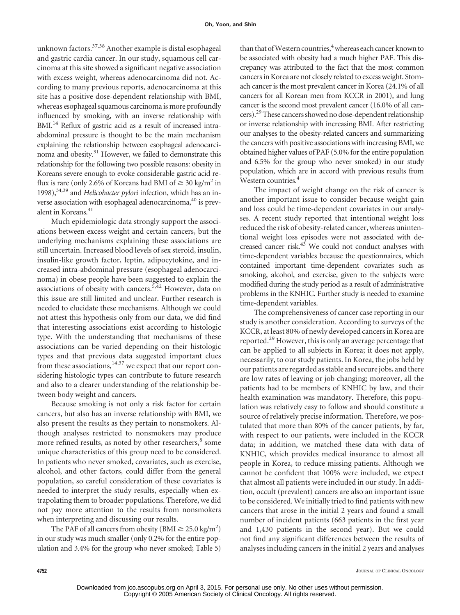unknown factors.37,38 Another example is distal esophageal and gastric cardia cancer. In our study, squamous cell carcinoma at this site showed a significant negative association with excess weight, whereas adenocarcinoma did not. According to many previous reports, adenocarcinoma at this site has a positive dose-dependent relationship with BMI, whereas esophageal squamous carcinoma is more profoundly influenced by smoking, with an inverse relationship with BMI.<sup>14</sup> Reflux of gastric acid as a result of increased intraabdominal pressure is thought to be the main mechanism explaining the relationship between esophageal adenocarcinoma and obesity.<sup>31</sup> However, we failed to demonstrate this relationship for the following two possible reasons: obesity in Koreans severe enough to evoke considerable gastric acid reflux is rare (only 2.6% of Koreans had BMI of  $\geq 30 \text{ kg/m}^2$  in 1998),34,39 and *Helicobacter pylori* infection, which has an inverse association with esophageal adenocarcinoma,<sup>40</sup> is prevalent in Koreans.<sup>41</sup>

Much epidemiologic data strongly support the associations between excess weight and certain cancers, but the underlying mechanisms explaining these associations are still uncertain. Increased blood levels of sex steroid, insulin, insulin-like growth factor, leptin, adipocytokine, and increased intra-abdominal pressure (esophageal adenocarcinoma) in obese people have been suggested to explain the associations of obesity with cancers.5,42 However, data on this issue are still limited and unclear. Further research is needed to elucidate these mechanisms. Although we could not attest this hypothesis only from our data, we did find that interesting associations exist according to histologic type. With the understanding that mechanisms of these associations can be varied depending on their histologic types and that previous data suggested important clues from these associations, $14,37$  we expect that our report considering histologic types can contribute to future research and also to a clearer understanding of the relationship between body weight and cancers.

Because smoking is not only a risk factor for certain cancers, but also has an inverse relationship with BMI, we also present the results as they pertain to nonsmokers. Although analyses restricted to nonsmokers may produce more refined results, as noted by other researchers,<sup>8</sup> some unique characteristics of this group need to be considered. In patients who never smoked, covariates, such as exercise, alcohol, and other factors, could differ from the general population, so careful consideration of these covariates is needed to interpret the study results, especially when extrapolating them to broader populations. Therefore, we did not pay more attention to the results from nonsmokers when interpreting and discussing our results.

The PAF of all cancers from obesity ( $\text{BMI} \geq 25.0 \text{ kg/m}^2$ ) in our study was much smaller (only 0.2% for the entire population and 3.4% for the group who never smoked; Table 5)

than that of Western countries,<sup>4</sup> whereas each cancer known to be associated with obesity had a much higher PAF. This discrepancy was attributed to the fact that the most common cancers in Korea are not closely related to excess weight. Stomach cancer is the most prevalent cancer in Korea (24.1% of all cancers for all Korean men from KCCR in 2001), and lung cancer is the second most prevalent cancer (16.0% of all cancers).29These cancers showed no dose-dependent relationship or inverse relationship with increasing BMI. After restricting our analyses to the obesity-related cancers and summarizing the cancers with positive associations with increasing BMI, we obtained higher values of PAF (5.0% for the entire population and 6.5% for the group who never smoked) in our study population, which are in accord with previous results from Western countries.<sup>4</sup>

The impact of weight change on the risk of cancer is another important issue to consider because weight gain and loss could be time-dependent covariates in our analyses. A recent study reported that intentional weight loss reduced the risk of obesity-related cancer, whereas unintentional weight loss episodes were not associated with decreased cancer risk.<sup>43</sup> We could not conduct analyses with time-dependent variables because the questionnaires, which contained important time-dependent covariates such as smoking, alcohol, and exercise, given to the subjects were modified during the study period as a result of administrative problems in the KNHIC. Further study is needed to examine time-dependent variables.

The comprehensiveness of cancer case reporting in our study is another consideration. According to surveys of the KCCR, at least 80% of newly developed cancers in Korea are reported.<sup>29</sup> However, this is only an average percentage that can be applied to all subjects in Korea; it does not apply, necessarily, to our study patients. In Korea, the jobs held by our patients are regarded as stable and secure jobs, and there are low rates of leaving or job changing; moreover, all the patients had to be members of KNHIC by law, and their health examination was mandatory. Therefore, this population was relatively easy to follow and should constitute a source of relatively precise information. Therefore, we postulated that more than 80% of the cancer patients, by far, with respect to our patients, were included in the KCCR data; in addition, we matched these data with data of KNHIC, which provides medical insurance to almost all people in Korea, to reduce missing patients. Although we cannot be confident that 100% were included, we expect that almost all patients were included in our study. In addition, occult (prevalent) cancers are also an important issue to be considered. We initially tried to find patients with new cancers that arose in the initial 2 years and found a small number of incident patients (663 patients in the first year and 1,430 patients in the second year). But we could not find any significant differences between the results of analyses including cancers in the initial 2 years and analyses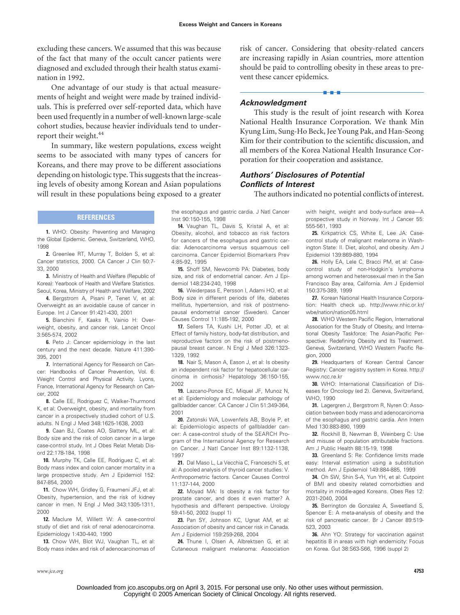excluding these cancers. We assumed that this was because of the fact that many of the occult cancer patients were diagnosed and excluded through their health status examination in 1992.

One advantage of our study is that actual measurements of height and weight were made by trained individuals. This is preferred over self-reported data, which have been used frequently in a number of well-known large-scale cohort studies, because heavier individuals tend to underreport their weight.<sup>44</sup>

In summary, like western populations, excess weight seems to be associated with many types of cancers for Koreans, and there may prove to be different associations depending on histologic type. This suggests that the increasing levels of obesity among Korean and Asian populations will result in these populations being exposed to a greater

#### **REFERENCES**

**1.** WHO: Obesity: Preventing and Managing the Global Epidemic. Geneva, Switzerland, WHO, 1998

**2.** Greenlee RT, Murray T, Bolden S, et al: Cancer statistics, 2000. CA Cancer J Clin 50:7- 33, 2000

**3.** Ministry of Health and Welfare (Republic of Korea): Yearbook of Health and Welfare Statistics. Seoul, Korea, Ministry of Health and Welfare, 2002

**4.** Bergstrom A, Pisani P, Tenet V, et al: Overweight as an avoidable cause of cancer in Europe. Int J Cancer 91:421-430, 2001

**5.** Bianchini F, Kaaks R, Vainio H: Overweight, obesity, and cancer risk. Lancet Oncol 3:565-574, 2002

**6.** Peto J: Cancer epidemiology in the last century and the next decade. Nature 411:390- 395, 2001

**7.** International Agency for Research on Cancer: Handbooks of Cancer Prevention, Vol. 6: Weight Control and Physical Activity. Lyons, France, International Agency for Research on Cancer, 2002

**8.** Calle EE, Rodriguez C, Walker-Thurmond K, et al: Overweight, obesity, and mortality from cancer in a prospectively studied cohort of U.S. adults. N Engl J Med 348:1625-1638, 2003

**9.** Caan BJ, Coates AO, Slattery ML, et al: Body size and the risk of colon cancer in a large case-control study. Int J Obes Relat Metab Disord 22:178-184, 1998

**10.** Murphy TK, Calle EE, Rodriguez C, et al: Body mass index and colon cancer mortality in a large prospective study. Am J Epidemiol 152: 847-854, 2000

**11.** Chow WH, Gridley G, Fraumeni JFJ, et al: Obesity, hypertension, and the risk of kidney cancer in men. N Engl J Med 343:1305-1311, 2000

**12.** Maclure M, Willett W: A case-control study of diet and risk of renal adenocarcinoma. Epidemiology 1:430-440, 1990

**13.** Chow WH, Blot WJ, Vaughan TL, et al: Body mass index and risk of adenocarcinomas of

risk of cancer. Considering that obesity-related cancers are increasing rapidly in Asian countries, more attention should be paid to controlling obesity in these areas to prevent these cancer epidemics.

■■■

# *Acknowledgment*

This study is the result of joint research with Korea National Health Insurance Corporation. We thank Min Kyung Lim, Sung-Ho Beck, Jee Young Pak, and Han-Seong Kim for their contribution to the scientific discussion, and all members of the Korea National Health Insurance Corporation for their cooperation and assistance.

# *Authors' Disclosures of Potential Conflicts of Interest*

The authors indicated no potential conflicts of interest.

the esophagus and gastric cardia. J Natl Cancer Inst 90:150-155, 1998

**14.** Vaughan TL, Davis S, Kristal A, et al: Obesity, alcohol, and tobacco as risk factors for cancers of the esophagus and gastric cardia: Adenocarcinoma versus squamous cell carcinoma. Cancer Epidemiol Biomarkers Prev 4:85-92, 1995

**15.** Shoff SM, Newcomb PA: Diabetes, body size, and risk of endometrial cancer. Am J Epidemiol 148:234-240, 1998

**16.** Weiderpass E, Persson I, Adami HO, et al: Body size in different periods of life, diabetes mellitus, hypertension, and risk of postmenopausal endometrial cancer (Sweden). Cancer Causes Control 11:185-192, 2000

**17.** Sellers TA, Kushi LH, Potter JD, et al: Effect of family history, body-fat distribution, and reproductive factors on the risk of postmenopausal breast cancer. N Engl J Med 326:1323- 1329, 1992

**18.** Nair S, Mason A, Eason J, et al: Is obesity an independent risk factor for hepatocellular carcinoma in cirrhosis? Hepatology 36:150-155, 2002

**19.** Lazcano-Ponce EC, Miquel JF, Munoz N, et al: Epidemiology and molecular pathology of gallbladder cancer. CA Cancer J Clin 51:349-364, 2001

**20.** Zatonski WA, Lowenfels AB, Boyle P, et al: Epidemiologic aspects of gallbladder cancer: A case-control study of the SEARCH Program of the International Agency for Research on Cancer. J Natl Cancer Inst 89:1132-1138, 1997

**21.** Dal Maso L, La Vecchia C, Franceschi S, et al: A pooled analysis of thyroid cancer studies: V. Anthropometric factors. Cancer Causes Control 11:137-144, 2000

**22.** Moyad MA: Is obesity a risk factor for prostate cancer, and does it even matter? A hypothesis and different perspective. Urology 59:41-50, 2002 (suppl 1)

**23.** Pan SY, Johnson KC, Ugnat AM, et al: Association of obesity and cancer risk in Canada. Am J Epidemiol 159:259-268, 2004

**24.** Thune I, Olsen A, Albrektsen G, et al: Cutaneous malignant melanoma: Association with height, weight and body-surface area—A prospective study in Norway. Int J Cancer 55: 555-561, 1993

**25.** Kirkpatrick CS, White E, Lee JA: Casecontrol study of malignant melanoma in Washington State: II. Diet, alcohol, and obesity. Am J Epidemiol 139:869-880, 1994

**26.** Holly EA, Lele C, Bracci PM, et al: Casecontrol study of non-Hodgkin's lymphoma among women and heterosexual men in the San Francisco Bay area, California. Am J Epidemiol 150:375-389, 1999

**27.** Korean National Health Insurance Corporation: Health check up. http://www.nhic.or.kr/ wbe/nation/nation05.html

**28.** WHO Western Pacific Region, International Association for the Study of Obesity, and International Obesity Taskforce: The Asian-Pacific Perspective: Redefining Obesity and Its Treatment. Geneva, Switzerland, WHO Western Pacific Region, 2000

**29.** Headquarters of Korean Central Cancer Registry: Cancer registry system in Korea. http:// www.ncc.re.kr

**30.** WHO: International Classification of Diseases for Oncology (ed 2). Geneva, Switzerland, WHO, 1990

**31.** Lagergren J, Bergstrom R, Nyren O: Association between body mass and adenocarcinoma of the esophagus and gastric cardia. Ann Intern Med 130:883-890, 1999

**32.** Rockhill B, Newman B, Weinberg C: Use and misuse of population attributable fractions. Am J Public Health 88:15-19, 1998

**33.** Greenland S: Re: Confidence limits made easy: Interval estimation using a substitution method. Am J Epidemiol 149:884-885, 1999

**34.** Oh SW, Shin S-A, Yun YH, et al: Cutpoint of BMI and obesity related comorbidties and mortality in middle-aged Koreans. Obes Res 12: 2031-2040, 2004

**35.** Berrington de Gonzalez A, Sweetland S, Spencer E: A meta-analysis of obesity and the risk of pancreatic cancer. Br J Cancer 89:519- 523, 2003

**36.** Ahn YO: Strategy for vaccination against hepatitis B in areas with high endemicity: Focus on Korea. Gut 38:S63-S66, 1996 (suppl 2)

*www.jco.org* **4753**